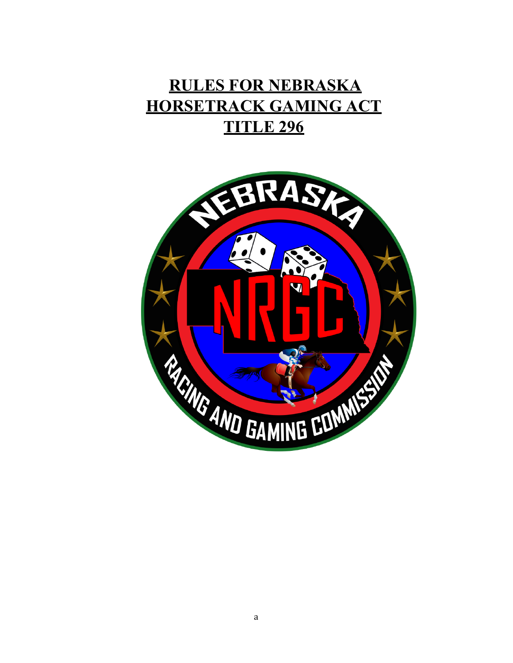# **RULES FOR NEBRASKA HORSETRACK GAMING ACT TITLE 296**

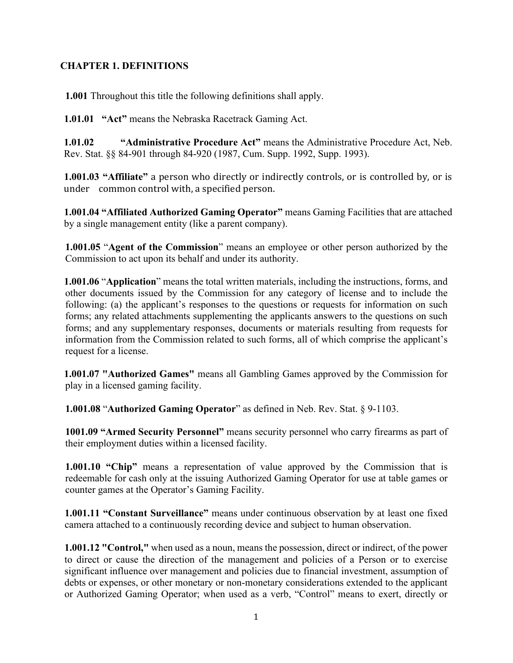### **CHAPTER 1. DEFINITIONS**

**1.001** Throughout this title the following definitions shall apply.

**1.01.01 "Act"** means the Nebraska Racetrack Gaming Act.

**1.01.02 "Administrative Procedure Act"** means the Administrative Procedure Act, Neb. Rev. Stat. §§ 84-901 through 84-920 (1987, Cum. Supp. 1992, Supp. 1993).

**1.001.03 "Affiliate"** a person who directly or indirectly controls, or is controlled by, or is under common control with, a specified person.

**1.001.04 "Affiliated Authorized Gaming Operator"** means Gaming Facilities that are attached by a single management entity (like a parent company).

**1.001.05** "**Agent of the Commission**" means an employee or other person authorized by the Commission to act upon its behalf and under its authority.

**1.001.06** "**Application**" means the total written materials, including the instructions, forms, and other documents issued by the Commission for any category of license and to include the following: (a) the applicant's responses to the questions or requests for information on such forms; any related attachments supplementing the applicants answers to the questions on such forms; and any supplementary responses, documents or materials resulting from requests for information from the Commission related to such forms, all of which comprise the applicant's request for a license.

**1.001.07 "Authorized Games"** means all Gambling Games approved by the Commission for play in a licensed gaming facility.

**1.001.08** "**Authorized Gaming Operator**" as defined in Neb. Rev. Stat. § 9-1103.

**1001.09 "Armed Security Personnel"** means security personnel who carry firearms as part of their employment duties within a licensed facility.

**1.001.10 "Chip"** means a representation of value approved by the Commission that is redeemable for cash only at the issuing Authorized Gaming Operator for use at table games or counter games at the Operator's Gaming Facility.

**1.001.11 "Constant Surveillance"** means under continuous observation by at least one fixed camera attached to a continuously recording device and subject to human observation.

**1.001.12 "Control,"** when used as a noun, means the possession, direct or indirect, of the power to direct or cause the direction of the management and policies of a Person or to exercise significant influence over management and policies due to financial investment, assumption of debts or expenses, or other monetary or non-monetary considerations extended to the applicant or Authorized Gaming Operator; when used as a verb, "Control" means to exert, directly or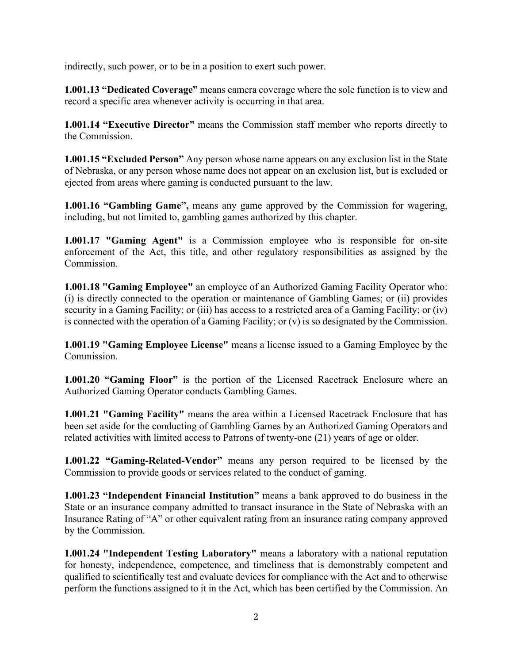indirectly, such power, or to be in a position to exert such power.

**1.001.13 "Dedicated Coverage"** means camera coverage where the sole function is to view and record a specific area whenever activity is occurring in that area.

**1.001.14 "Executive Director"** means the Commission staff member who reports directly to the Commission.

**1.001.15 "Excluded Person"** Any person whose name appears on any exclusion list in the State of Nebraska, or any person whose name does not appear on an exclusion list, but is excluded or ejected from areas where gaming is conducted pursuant to the law.

**1.001.16 "Gambling Game",** means any game approved by the Commission for wagering, including, but not limited to, gambling games authorized by this chapter.

**1.001.17 "Gaming Agent"** is a Commission employee who is responsible for on-site enforcement of the Act, this title, and other regulatory responsibilities as assigned by the Commission.

**1.001.18 "Gaming Employee"** an employee of an Authorized Gaming Facility Operator who: (i) is directly connected to the operation or maintenance of Gambling Games; or (ii) provides security in a Gaming Facility; or (iii) has access to a restricted area of a Gaming Facility; or (iv) is connected with the operation of a Gaming Facility; or (v) is so designated by the Commission.

**1.001.19 "Gaming Employee License"** means a license issued to a Gaming Employee by the Commission.

**1.001.20 "Gaming Floor"** is the portion of the Licensed Racetrack Enclosure where an Authorized Gaming Operator conducts Gambling Games.

**1.001.21 "Gaming Facility"** means the area within a Licensed Racetrack Enclosure that has been set aside for the conducting of Gambling Games by an Authorized Gaming Operators and related activities with limited access to Patrons of twenty-one (21) years of age or older.

**1.001.22 "Gaming-Related-Vendor"** means any person required to be licensed by the Commission to provide goods or services related to the conduct of gaming.

**1.001.23 "Independent Financial Institution"** means a bank approved to do business in the State or an insurance company admitted to transact insurance in the State of Nebraska with an Insurance Rating of "A" or other equivalent rating from an insurance rating company approved by the Commission.

**1.001.24 "Independent Testing Laboratory"** means a laboratory with a national reputation for honesty, independence, competence, and timeliness that is demonstrably competent and qualified to scientifically test and evaluate devices for compliance with the Act and to otherwise perform the functions assigned to it in the Act, which has been certified by the Commission. An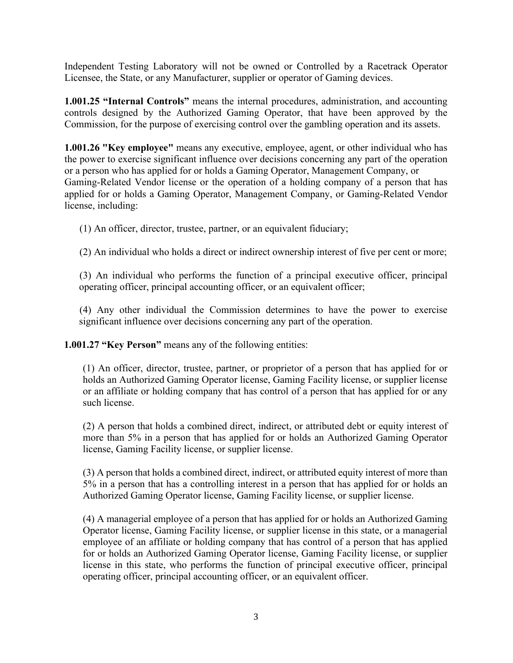Independent Testing Laboratory will not be owned or Controlled by a Racetrack Operator Licensee, the State, or any Manufacturer, supplier or operator of Gaming devices.

**1.001.25 "Internal Controls"** means the internal procedures, administration, and accounting controls designed by the Authorized Gaming Operator, that have been approved by the Commission, for the purpose of exercising control over the gambling operation and its assets.

**1.001.26 "Key employee"** means any executive, employee, agent, or other individual who has the power to exercise significant influence over decisions concerning any part of the operation or a person who has applied for or holds a Gaming Operator, Management Company, or Gaming-Related Vendor license or the operation of a holding company of a person that has applied for or holds a Gaming Operator, Management Company, or Gaming-Related Vendor license, including:

(1) An officer, director, trustee, partner, or an equivalent fiduciary;

(2) An individual who holds a direct or indirect ownership interest of five per cent or more;

(3) An individual who performs the function of a principal executive officer, principal operating officer, principal accounting officer, or an equivalent officer;

(4) Any other individual the Commission determines to have the power to exercise significant influence over decisions concerning any part of the operation.

**1.001.27 "Key Person"** means any of the following entities:

(1) An officer, director, trustee, partner, or proprietor of a person that has applied for or holds an Authorized Gaming Operator license, Gaming Facility license, or supplier license or an affiliate or holding company that has control of a person that has applied for or any such license.

(2) A person that holds a combined direct, indirect, or attributed debt or equity interest of more than 5% in a person that has applied for or holds an Authorized Gaming Operator license, Gaming Facility license, or supplier license.

(3) A person that holds a combined direct, indirect, or attributed equity interest of more than 5% in a person that has a controlling interest in a person that has applied for or holds an Authorized Gaming Operator license, Gaming Facility license, or supplier license.

(4) A managerial employee of a person that has applied for or holds an Authorized Gaming Operator license, Gaming Facility license, or supplier license in this state, or a managerial employee of an affiliate or holding company that has control of a person that has applied for or holds an Authorized Gaming Operator license, Gaming Facility license, or supplier license in this state, who performs the function of principal executive officer, principal operating officer, principal accounting officer, or an equivalent officer.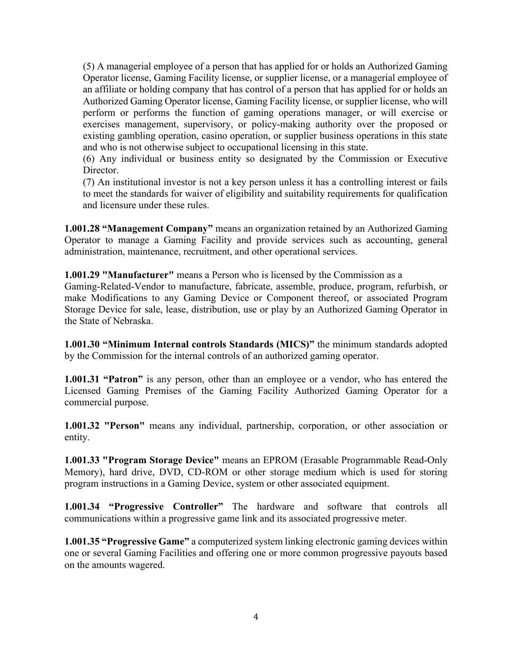(5) A managerial employee of a person that has applied for or holds an Authorized Gaming Operator license, Gaming Facility license, or supplier license, or a managerial employee of an affiliate or holding company that has control of a person that has applied for or holds an Authorized Gaming Operator license, Gaming Facility license, or supplier license, who will perform or performs the function of gaming operations manager, or will exercise or exercises management, supervisory, or policy-making authority over the proposed or existing gambling operation, casino operation, or supplier business operations in this state and who is not otherwise subject to occupational licensing in this state.

(6) Any individual or business entity so designated by the Commission or Executive Director.

(7) An institutional investor is not a key person unless it has a controlling interest or fails to meet the standards for waiver of eligibility and suitability requirements for qualification and licensure under these rules.

**1.001.28 "Management Company"** means an organization retained by an Authorized Gaming Operator to manage a Gaming Facility and provide services such as accounting, general administration, maintenance, recruitment, and other operational services.

**1.001.29 "Manufacturer"** means a Person who is licensed by the Commission as a

Gaming-Related-Vendor to manufacture, fabricate, assemble, produce, program, refurbish, or make Modifications to any Gaming Device or Component thereof, or associated Program Storage Device for sale, lease, distribution, use or play by an Authorized Gaming Operator in the State of Nebraska.

**1.001.30 "Minimum Internal controls Standards (MICS)"** the minimum standards adopted by the Commission for the internal controls of an authorized gaming operator.

**1.001.31 "Patron"** is any person, other than an employee or a vendor, who has entered the Licensed Gaming Premises of the Gaming Facility Authorized Gaming Operator for a commercial purpose.

**1.001.32 "Person"** means any individual, partnership, corporation, or other association or entity.

**1.001.33 "Program Storage Device"** means an EPROM (Erasable Programmable Read-Only Memory), hard drive, DVD, CD-ROM or other storage medium which is used for storing program instructions in a Gaming Device, system or other associated equipment.

**1.001.34 "Progressive Controller"** The hardware and software that controls all communications within a progressive game link and its associated progressive meter.

**1.001.35 "Progressive Game"** a computerized system linking electronic gaming devices within one or several Gaming Facilities and offering one or more common progressive payouts based on the amounts wagered.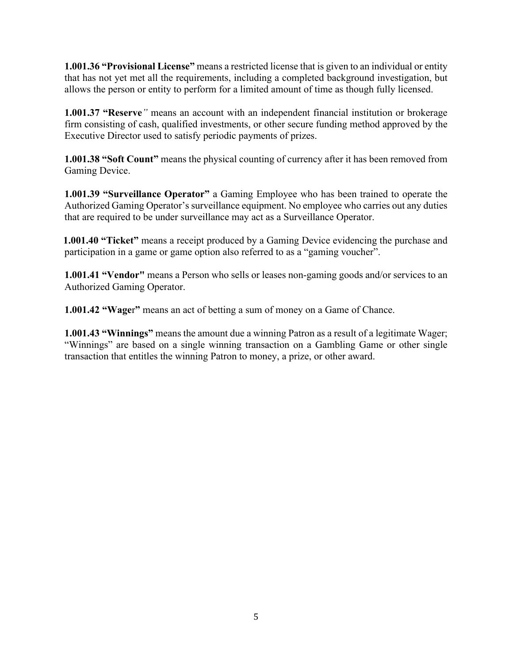**1.001.36 "Provisional License"** means a restricted license that is given to an individual or entity that has not yet met all the requirements, including a completed background investigation, but allows the person or entity to perform for a limited amount of time as though fully licensed.

**1.001.37 "Reserve***"* means an account with an independent financial institution or brokerage firm consisting of cash, qualified investments, or other secure funding method approved by the Executive Director used to satisfy periodic payments of prizes.

**1.001.38 "Soft Count"** means the physical counting of currency after it has been removed from Gaming Device.

**1.001.39 "Surveillance Operator"** a Gaming Employee who has been trained to operate the Authorized Gaming Operator's surveillance equipment. No employee who carries out any duties that are required to be under surveillance may act as a Surveillance Operator.

**1.001.40 "Ticket"** means a receipt produced by a Gaming Device evidencing the purchase and participation in a game or game option also referred to as a "gaming voucher".

**1.001.41 "Vendor"** means a Person who sells or leases non-gaming goods and/or services to an Authorized Gaming Operator.

**1.001.42 "Wage**r**"** means an act of betting a sum of money on a Game of Chance.

**1.001.43 "Winnings"** means the amount due a winning Patron as a result of a legitimate Wager; "Winnings" are based on a single winning transaction on a Gambling Game or other single transaction that entitles the winning Patron to money, a prize, or other award.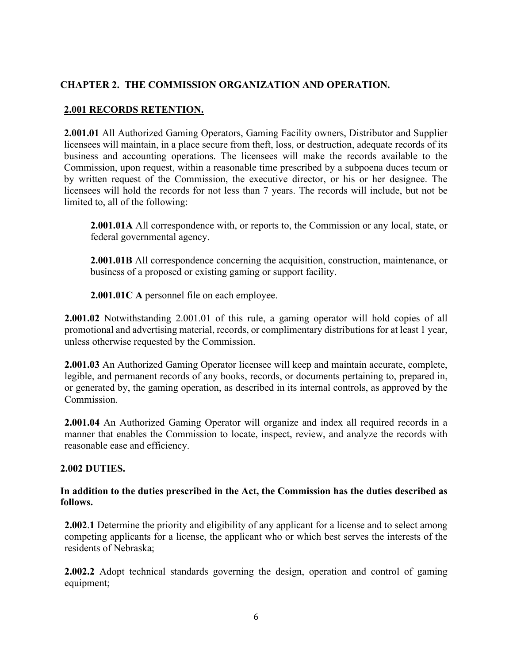# **CHAPTER 2. THE COMMISSION ORGANIZATION AND OPERATION.**

# **2.001 RECORDS RETENTION.**

**2.001.01** All Authorized Gaming Operators, Gaming Facility owners, Distributor and Supplier licensees will maintain, in a place secure from theft, loss, or destruction, adequate records of its business and accounting operations. The licensees will make the records available to the Commission, upon request, within a reasonable time prescribed by a subpoena duces tecum or by written request of the Commission, the executive director, or his or her designee. The licensees will hold the records for not less than 7 years. The records will include, but not be limited to, all of the following:

**2.001.01A** All correspondence with, or reports to, the Commission or any local, state, or federal governmental agency.

**2.001.01B** All correspondence concerning the acquisition, construction, maintenance, or business of a proposed or existing gaming or support facility.

**2.001.01C A** personnel file on each employee.

**2.001.02** Notwithstanding 2.001.01 of this rule, a gaming operator will hold copies of all promotional and advertising material, records, or complimentary distributions for at least 1 year, unless otherwise requested by the Commission.

**2.001.03** An Authorized Gaming Operator licensee will keep and maintain accurate, complete, legible, and permanent records of any books, records, or documents pertaining to, prepared in, or generated by, the gaming operation, as described in its internal controls, as approved by the Commission.

**2.001.04** An Authorized Gaming Operator will organize and index all required records in a manner that enables the Commission to locate, inspect, review, and analyze the records with reasonable ease and efficiency.

#### **2.002 DUTIES.**

#### **In addition to the duties prescribed in the Act, the Commission has the duties described as follows.**

**2.002**.**1** Determine the priority and eligibility of any applicant for a license and to select among competing applicants for a license, the applicant who or which best serves the interests of the residents of Nebraska;

**2.002.2** Adopt technical standards governing the design, operation and control of gaming equipment;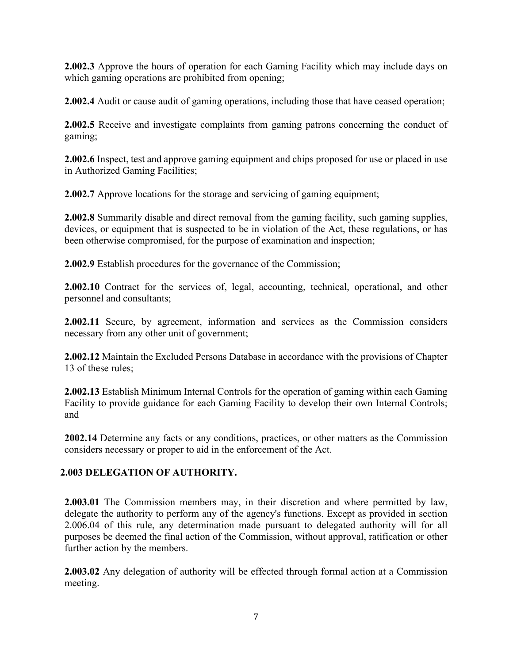**2.002.3** Approve the hours of operation for each Gaming Facility which may include days on which gaming operations are prohibited from opening;

**2.002.4** Audit or cause audit of gaming operations, including those that have ceased operation;

**2.002.5** Receive and investigate complaints from gaming patrons concerning the conduct of gaming;

**2.002.6** Inspect, test and approve gaming equipment and chips proposed for use or placed in use in Authorized Gaming Facilities;

**2.002.7** Approve locations for the storage and servicing of gaming equipment;

**2.002.8** Summarily disable and direct removal from the gaming facility, such gaming supplies, devices, or equipment that is suspected to be in violation of the Act, these regulations, or has been otherwise compromised, for the purpose of examination and inspection;

**2.002.9** Establish procedures for the governance of the Commission;

**2.002.10** Contract for the services of, legal, accounting, technical, operational, and other personnel and consultants;

**2.002.11** Secure, by agreement, information and services as the Commission considers necessary from any other unit of government;

**2.002.12** Maintain the Excluded Persons Database in accordance with the provisions of Chapter 13 of these rules;

**2.002.13** Establish Minimum Internal Controls for the operation of gaming within each Gaming Facility to provide guidance for each Gaming Facility to develop their own Internal Controls; and

**2002.14** Determine any facts or any conditions, practices, or other matters as the Commission considers necessary or proper to aid in the enforcement of the Act.

# **2.003 DELEGATION OF AUTHORITY.**

**2.003.01** The Commission members may, in their discretion and where permitted by law, delegate the authority to perform any of the agency's functions. Except as provided in section 2.006.04 of this rule, any determination made pursuant to delegated authority will for all purposes be deemed the final action of the Commission, without approval, ratification or other further action by the members.

**2.003.02** Any delegation of authority will be effected through formal action at a Commission meeting.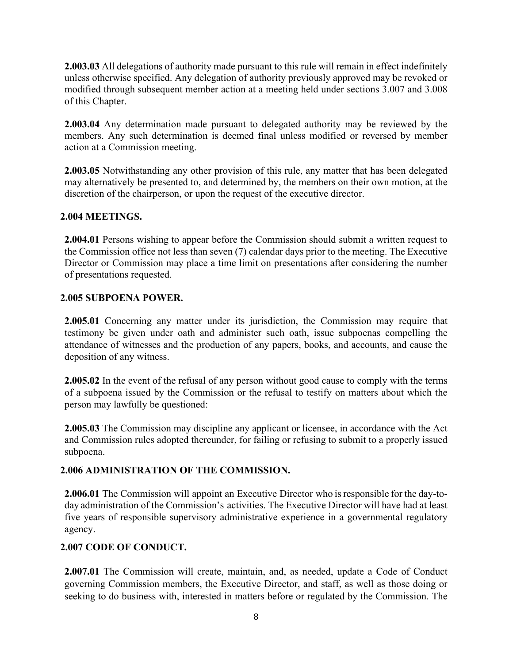**2.003.03** All delegations of authority made pursuant to this rule will remain in effect indefinitely unless otherwise specified. Any delegation of authority previously approved may be revoked or modified through subsequent member action at a meeting held under sections 3.007 and 3.008 of this Chapter.

**2.003.04** Any determination made pursuant to delegated authority may be reviewed by the members. Any such determination is deemed final unless modified or reversed by member action at a Commission meeting.

**2.003.05** Notwithstanding any other provision of this rule, any matter that has been delegated may alternatively be presented to, and determined by, the members on their own motion, at the discretion of the chairperson, or upon the request of the executive director.

#### **2.004 MEETINGS.**

**2.004.01** Persons wishing to appear before the Commission should submit a written request to the Commission office not less than seven (7) calendar days prior to the meeting. The Executive Director or Commission may place a time limit on presentations after considering the number of presentations requested.

#### **2.005 SUBPOENA POWER.**

**2.005.01** Concerning any matter under its jurisdiction, the Commission may require that testimony be given under oath and administer such oath, issue subpoenas compelling the attendance of witnesses and the production of any papers, books, and accounts, and cause the deposition of any witness.

**2.005.02** In the event of the refusal of any person without good cause to comply with the terms of a subpoena issued by the Commission or the refusal to testify on matters about which the person may lawfully be questioned:

**2.005.03** The Commission may discipline any applicant or licensee, in accordance with the Act and Commission rules adopted thereunder, for failing or refusing to submit to a properly issued subpoena.

#### **2.006 ADMINISTRATION OF THE COMMISSION.**

**2.006.01** The Commission will appoint an Executive Director who isresponsible for the day-today administration of the Commission's activities. The Executive Director will have had at least five years of responsible supervisory administrative experience in a governmental regulatory agency.

#### **2.007 CODE OF CONDUCT.**

**2.007.01** The Commission will create, maintain, and, as needed, update a Code of Conduct governing Commission members, the Executive Director, and staff, as well as those doing or seeking to do business with, interested in matters before or regulated by the Commission. The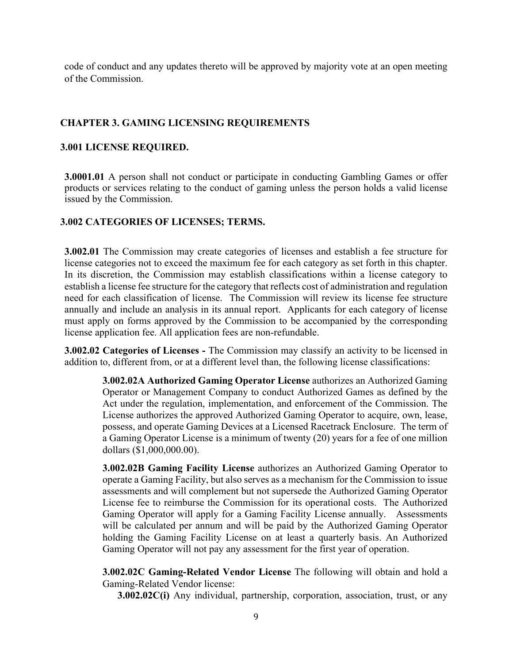code of conduct and any updates thereto will be approved by majority vote at an open meeting of the Commission.

# **CHAPTER 3. GAMING LICENSING REQUIREMENTS**

#### **3.001 LICENSE REQUIRED.**

**3.0001.01** A person shall not conduct or participate in conducting Gambling Games or offer products or services relating to the conduct of gaming unless the person holds a valid license issued by the Commission.

#### **3.002 CATEGORIES OF LICENSES; TERMS.**

**3.002.01** The Commission may create categories of licenses and establish a fee structure for license categories not to exceed the maximum fee for each category as set forth in this chapter. In its discretion, the Commission may establish classifications within a license category to establish a license fee structure for the category that reflects cost of administration and regulation need for each classification of license. The Commission will review its license fee structure annually and include an analysis in its annual report. Applicants for each category of license must apply on forms approved by the Commission to be accompanied by the corresponding license application fee. All application fees are non-refundable.

**3.002.02 Categories of Licenses -** The Commission may classify an activity to be licensed in addition to, different from, or at a different level than, the following license classifications:

**3.002.02A Authorized Gaming Operator License** authorizes an Authorized Gaming Operator or Management Company to conduct Authorized Games as defined by the Act under the regulation, implementation, and enforcement of the Commission. The License authorizes the approved Authorized Gaming Operator to acquire, own, lease, possess, and operate Gaming Devices at a Licensed Racetrack Enclosure. The term of a Gaming Operator License is a minimum of twenty (20) years for a fee of one million dollars (\$1,000,000.00).

**3.002.02B Gaming Facility License** authorizes an Authorized Gaming Operator to operate a Gaming Facility, but also serves as a mechanism for the Commission to issue assessments and will complement but not supersede the Authorized Gaming Operator License fee to reimburse the Commission for its operational costs. The Authorized Gaming Operator will apply for a Gaming Facility License annually. Assessments will be calculated per annum and will be paid by the Authorized Gaming Operator holding the Gaming Facility License on at least a quarterly basis. An Authorized Gaming Operator will not pay any assessment for the first year of operation.

**3.002.02C Gaming-Related Vendor License** The following will obtain and hold a Gaming-Related Vendor license:

**3.002.02C(i)** Any individual, partnership, corporation, association, trust, or any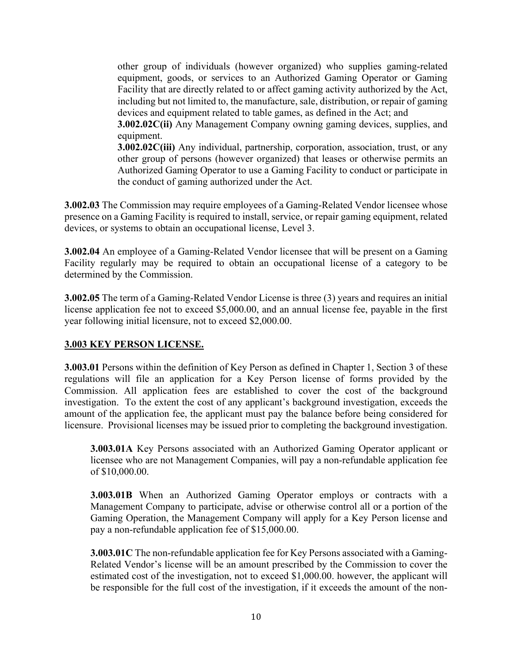other group of individuals (however organized) who supplies gaming-related equipment, goods, or services to an Authorized Gaming Operator or Gaming Facility that are directly related to or affect gaming activity authorized by the Act, including but not limited to, the manufacture, sale, distribution, or repair of gaming devices and equipment related to table games, as defined in the Act; and

**3.002.02C(ii)** Any Management Company owning gaming devices, supplies, and equipment.

**3.002.02C(iii)** Any individual, partnership, corporation, association, trust, or any other group of persons (however organized) that leases or otherwise permits an Authorized Gaming Operator to use a Gaming Facility to conduct or participate in the conduct of gaming authorized under the Act.

**3.002.03** The Commission may require employees of a Gaming-Related Vendor licensee whose presence on a Gaming Facility is required to install, service, or repair gaming equipment, related devices, or systems to obtain an occupational license, Level 3.

**3.002.04** An employee of a Gaming-Related Vendor licensee that will be present on a Gaming Facility regularly may be required to obtain an occupational license of a category to be determined by the Commission.

**3.002.05** The term of a Gaming-Related Vendor License is three (3) years and requires an initial license application fee not to exceed \$5,000.00, and an annual license fee, payable in the first year following initial licensure, not to exceed \$2,000.00.

# **3.003 KEY PERSON LICENSE.**

**3.003.01** Persons within the definition of Key Person as defined in Chapter 1, Section 3 of these regulations will file an application for a Key Person license of forms provided by the Commission. All application fees are established to cover the cost of the background investigation. To the extent the cost of any applicant's background investigation, exceeds the amount of the application fee, the applicant must pay the balance before being considered for licensure. Provisional licenses may be issued prior to completing the background investigation.

**3.003.01A** Key Persons associated with an Authorized Gaming Operator applicant or licensee who are not Management Companies, will pay a non-refundable application fee of \$10,000.00.

**3.003.01B** When an Authorized Gaming Operator employs or contracts with a Management Company to participate, advise or otherwise control all or a portion of the Gaming Operation, the Management Company will apply for a Key Person license and pay a non-refundable application fee of \$15,000.00.

**3.003.01C** The non-refundable application fee for Key Persons associated with a Gaming-Related Vendor's license will be an amount prescribed by the Commission to cover the estimated cost of the investigation, not to exceed \$1,000.00. however, the applicant will be responsible for the full cost of the investigation, if it exceeds the amount of the non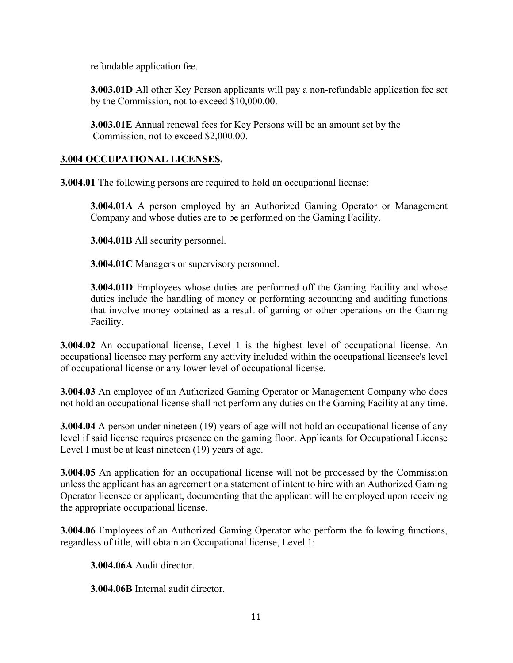refundable application fee.

**3.003.01D** All other Key Person applicants will pay a non-refundable application fee set by the Commission, not to exceed \$10,000.00.

**3.003.01E** Annual renewal fees for Key Persons will be an amount set by the Commission, not to exceed \$2,000.00.

### **3.004 OCCUPATIONAL LICENSES.**

**3.004.01** The following persons are required to hold an occupational license:

**3.004.01A** A person employed by an Authorized Gaming Operator or Management Company and whose duties are to be performed on the Gaming Facility.

**3.004.01B** All security personnel.

**3.004.01C** Managers or supervisory personnel.

**3.004.01D** Employees whose duties are performed off the Gaming Facility and whose duties include the handling of money or performing accounting and auditing functions that involve money obtained as a result of gaming or other operations on the Gaming Facility.

**3.004.02** An occupational license, Level 1 is the highest level of occupational license. An occupational licensee may perform any activity included within the occupational licensee's level of occupational license or any lower level of occupational license.

**3.004.03** An employee of an Authorized Gaming Operator or Management Company who does not hold an occupational license shall not perform any duties on the Gaming Facility at any time.

**3.004.04** A person under nineteen (19) years of age will not hold an occupational license of any level if said license requires presence on the gaming floor. Applicants for Occupational License Level I must be at least nineteen (19) years of age.

**3.004.05** An application for an occupational license will not be processed by the Commission unless the applicant has an agreement or a statement of intent to hire with an Authorized Gaming Operator licensee or applicant, documenting that the applicant will be employed upon receiving the appropriate occupational license.

**3.004.06** Employees of an Authorized Gaming Operator who perform the following functions, regardless of title, will obtain an Occupational license, Level 1:

**3.004.06A** Audit director.

**3.004.06B** Internal audit director.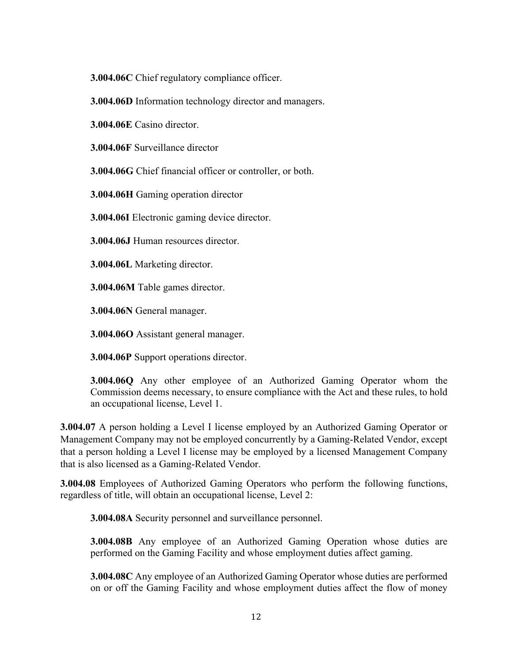**3.004.06C** Chief regulatory compliance officer.

**3.004.06D** Information technology director and managers.

**3.004.06E** Casino director.

**3.004.06F** Surveillance director

**3.004.06G** Chief financial officer or controller, or both.

**3.004.06H** Gaming operation director

**3.004.06I** Electronic gaming device director.

**3.004.06J** Human resources director.

**3.004.06L** Marketing director.

**3.004.06M** Table games director.

**3.004.06N** General manager.

**3.004.06O** Assistant general manager.

**3.004.06P** Support operations director.

**3.004.06Q** Any other employee of an Authorized Gaming Operator whom the Commission deems necessary, to ensure compliance with the Act and these rules, to hold an occupational license, Level 1.

**3.004.07** A person holding a Level I license employed by an Authorized Gaming Operator or Management Company may not be employed concurrently by a Gaming-Related Vendor, except that a person holding a Level I license may be employed by a licensed Management Company that is also licensed as a Gaming-Related Vendor.

**3.004.08** Employees of Authorized Gaming Operators who perform the following functions, regardless of title, will obtain an occupational license, Level 2:

**3.004.08A** Security personnel and surveillance personnel.

**3.004.08B** Any employee of an Authorized Gaming Operation whose duties are performed on the Gaming Facility and whose employment duties affect gaming.

**3.004.08C** Any employee of an Authorized Gaming Operator whose duties are performed on or off the Gaming Facility and whose employment duties affect the flow of money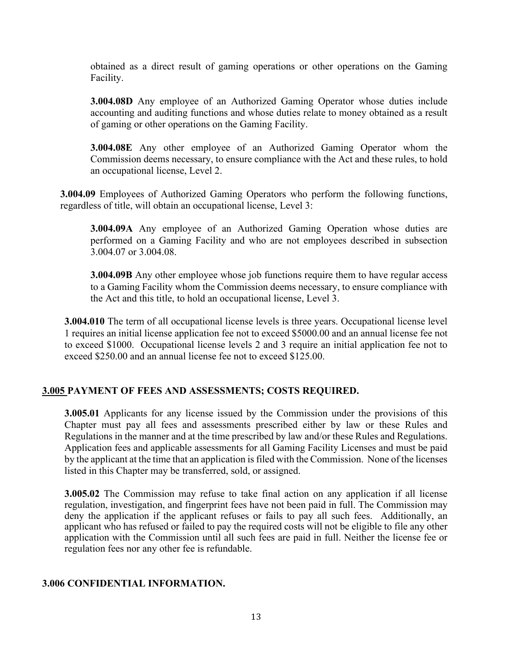obtained as a direct result of gaming operations or other operations on the Gaming Facility.

**3.004.08D** Any employee of an Authorized Gaming Operator whose duties include accounting and auditing functions and whose duties relate to money obtained as a result of gaming or other operations on the Gaming Facility.

**3.004.08E** Any other employee of an Authorized Gaming Operator whom the Commission deems necessary, to ensure compliance with the Act and these rules, to hold an occupational license, Level 2.

**3.004.09** Employees of Authorized Gaming Operators who perform the following functions, regardless of title, will obtain an occupational license, Level 3:

**3.004.09A** Any employee of an Authorized Gaming Operation whose duties are performed on a Gaming Facility and who are not employees described in subsection 3.004.07 or 3.004.08.

**3.004.09B** Any other employee whose job functions require them to have regular access to a Gaming Facility whom the Commission deems necessary, to ensure compliance with the Act and this title, to hold an occupational license, Level 3.

**3.004.010** The term of all occupational license levels is three years. Occupational license level 1 requires an initial license application fee not to exceed \$5000.00 and an annual license fee not to exceed \$1000. Occupational license levels 2 and 3 require an initial application fee not to exceed \$250.00 and an annual license fee not to exceed \$125.00.

# **3.005 PAYMENT OF FEES AND ASSESSMENTS; COSTS REQUIRED.**

**3.005.01** Applicants for any license issued by the Commission under the provisions of this Chapter must pay all fees and assessments prescribed either by law or these Rules and Regulations in the manner and at the time prescribed by law and/or these Rules and Regulations. Application fees and applicable assessments for all Gaming Facility Licenses and must be paid by the applicant at the time that an application is filed with the Commission. None of the licenses listed in this Chapter may be transferred, sold, or assigned.

**3.005.02** The Commission may refuse to take final action on any application if all license regulation, investigation, and fingerprint fees have not been paid in full. The Commission may deny the application if the applicant refuses or fails to pay all such fees. Additionally, an applicant who has refused or failed to pay the required costs will not be eligible to file any other application with the Commission until all such fees are paid in full. Neither the license fee or regulation fees nor any other fee is refundable.

#### **3.006 CONFIDENTIAL INFORMATION.**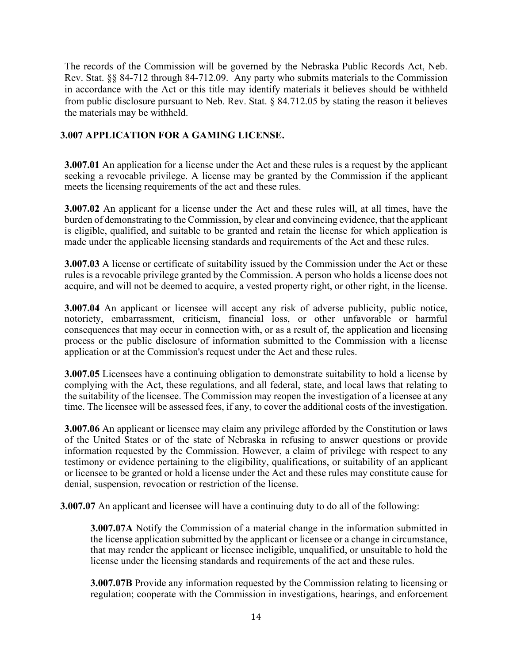The records of the Commission will be governed by the Nebraska Public Records Act, Neb. Rev. Stat. §§ 84-712 through 84-712.09. Any party who submits materials to the Commission in accordance with the Act or this title may identify materials it believes should be withheld from public disclosure pursuant to Neb. Rev. Stat. § 84.712.05 by stating the reason it believes the materials may be withheld.

# **3.007 APPLICATION FOR A GAMING LICENSE.**

**3.007.01** An application for a license under the Act and these rules is a request by the applicant seeking a revocable privilege. A license may be granted by the Commission if the applicant meets the licensing requirements of the act and these rules.

**3.007.02** An applicant for a license under the Act and these rules will, at all times, have the burden of demonstrating to the Commission, by clear and convincing evidence, that the applicant is eligible, qualified, and suitable to be granted and retain the license for which application is made under the applicable licensing standards and requirements of the Act and these rules.

**3.007.03** A license or certificate of suitability issued by the Commission under the Act or these rules is a revocable privilege granted by the Commission. A person who holds a license does not acquire, and will not be deemed to acquire, a vested property right, or other right, in the license.

**3.007.04** An applicant or licensee will accept any risk of adverse publicity, public notice, notoriety, embarrassment, criticism, financial loss, or other unfavorable or harmful consequences that may occur in connection with, or as a result of, the application and licensing process or the public disclosure of information submitted to the Commission with a license application or at the Commission's request under the Act and these rules.

**3.007.05** Licensees have a continuing obligation to demonstrate suitability to hold a license by complying with the Act, these regulations, and all federal, state, and local laws that relating to the suitability of the licensee. The Commission may reopen the investigation of a licensee at any time. The licensee will be assessed fees, if any, to cover the additional costs of the investigation.

**3.007.06** An applicant or licensee may claim any privilege afforded by the Constitution or laws of the United States or of the state of Nebraska in refusing to answer questions or provide information requested by the Commission. However, a claim of privilege with respect to any testimony or evidence pertaining to the eligibility, qualifications, or suitability of an applicant or licensee to be granted or hold a license under the Act and these rules may constitute cause for denial, suspension, revocation or restriction of the license.

**3.007.07** An applicant and licensee will have a continuing duty to do all of the following:

**3.007.07A** Notify the Commission of a material change in the information submitted in the license application submitted by the applicant or licensee or a change in circumstance, that may render the applicant or licensee ineligible, unqualified, or unsuitable to hold the license under the licensing standards and requirements of the act and these rules.

**3.007.07B** Provide any information requested by the Commission relating to licensing or regulation; cooperate with the Commission in investigations, hearings, and enforcement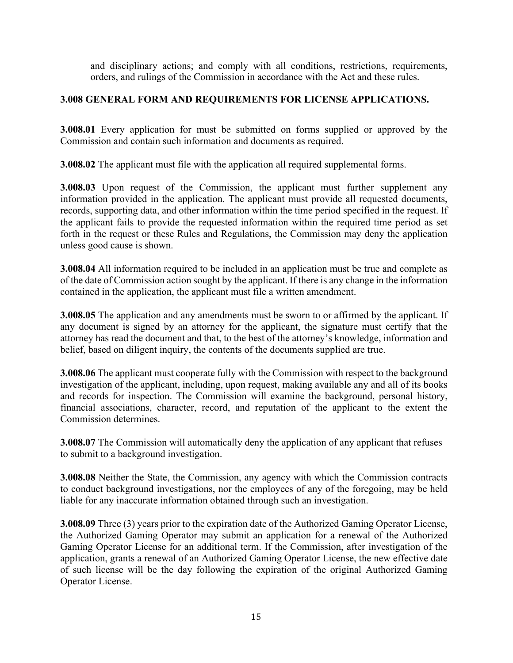and disciplinary actions; and comply with all conditions, restrictions, requirements, orders, and rulings of the Commission in accordance with the Act and these rules.

# **3.008 GENERAL FORM AND REQUIREMENTS FOR LICENSE APPLICATIONS.**

**3.008.01** Every application for must be submitted on forms supplied or approved by the Commission and contain such information and documents as required.

**3.008.02** The applicant must file with the application all required supplemental forms.

**3.008.03** Upon request of the Commission, the applicant must further supplement any information provided in the application. The applicant must provide all requested documents, records, supporting data, and other information within the time period specified in the request. If the applicant fails to provide the requested information within the required time period as set forth in the request or these Rules and Regulations, the Commission may deny the application unless good cause is shown.

**3.008.04** All information required to be included in an application must be true and complete as of the date of Commission action sought by the applicant. If there is any change in the information contained in the application, the applicant must file a written amendment.

**3.008.05** The application and any amendments must be sworn to or affirmed by the applicant. If any document is signed by an attorney for the applicant, the signature must certify that the attorney has read the document and that, to the best of the attorney's knowledge, information and belief, based on diligent inquiry, the contents of the documents supplied are true.

**3.008.06** The applicant must cooperate fully with the Commission with respect to the background investigation of the applicant, including, upon request, making available any and all of its books and records for inspection. The Commission will examine the background, personal history, financial associations, character, record, and reputation of the applicant to the extent the Commission determines.

**3.008.07** The Commission will automatically deny the application of any applicant that refuses to submit to a background investigation.

**3.008.08** Neither the State, the Commission, any agency with which the Commission contracts to conduct background investigations, nor the employees of any of the foregoing, may be held liable for any inaccurate information obtained through such an investigation.

**3.008.09** Three (3) years prior to the expiration date of the Authorized Gaming Operator License, the Authorized Gaming Operator may submit an application for a renewal of the Authorized Gaming Operator License for an additional term. If the Commission, after investigation of the application, grants a renewal of an Authorized Gaming Operator License, the new effective date of such license will be the day following the expiration of the original Authorized Gaming Operator License.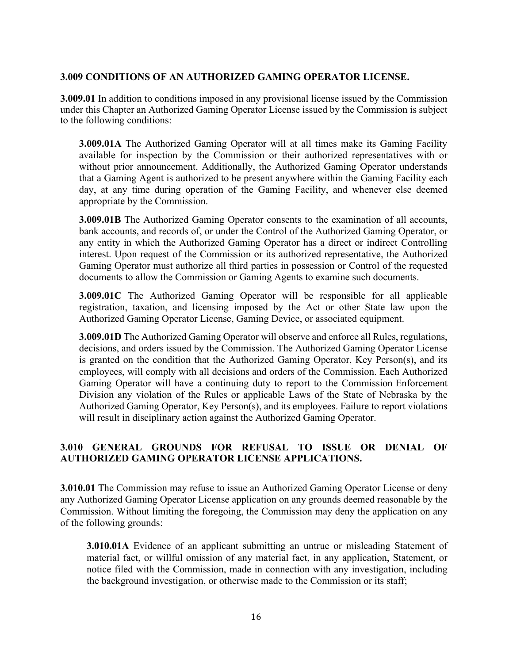#### **3.009 CONDITIONS OF AN AUTHORIZED GAMING OPERATOR LICENSE.**

**3.009.01** In addition to conditions imposed in any provisional license issued by the Commission under this Chapter an Authorized Gaming Operator License issued by the Commission is subject to the following conditions:

**3.009.01A** The Authorized Gaming Operator will at all times make its Gaming Facility available for inspection by the Commission or their authorized representatives with or without prior announcement. Additionally, the Authorized Gaming Operator understands that a Gaming Agent is authorized to be present anywhere within the Gaming Facility each day, at any time during operation of the Gaming Facility, and whenever else deemed appropriate by the Commission.

**3.009.01B** The Authorized Gaming Operator consents to the examination of all accounts, bank accounts, and records of, or under the Control of the Authorized Gaming Operator, or any entity in which the Authorized Gaming Operator has a direct or indirect Controlling interest. Upon request of the Commission or its authorized representative, the Authorized Gaming Operator must authorize all third parties in possession or Control of the requested documents to allow the Commission or Gaming Agents to examine such documents.

**3.009.01C** The Authorized Gaming Operator will be responsible for all applicable registration, taxation, and licensing imposed by the Act or other State law upon the Authorized Gaming Operator License, Gaming Device, or associated equipment.

**3.009.01D** The Authorized Gaming Operator will observe and enforce all Rules, regulations, decisions, and orders issued by the Commission. The Authorized Gaming Operator License is granted on the condition that the Authorized Gaming Operator, Key Person(s), and its employees, will comply with all decisions and orders of the Commission. Each Authorized Gaming Operator will have a continuing duty to report to the Commission Enforcement Division any violation of the Rules or applicable Laws of the State of Nebraska by the Authorized Gaming Operator, Key Person(s), and its employees. Failure to report violations will result in disciplinary action against the Authorized Gaming Operator.

# **3.010 GENERAL GROUNDS FOR REFUSAL TO ISSUE OR DENIAL OF AUTHORIZED GAMING OPERATOR LICENSE APPLICATIONS.**

**3.010.01** The Commission may refuse to issue an Authorized Gaming Operator License or deny any Authorized Gaming Operator License application on any grounds deemed reasonable by the Commission. Without limiting the foregoing, the Commission may deny the application on any of the following grounds:

**3.010.01A** Evidence of an applicant submitting an untrue or misleading Statement of material fact, or willful omission of any material fact, in any application, Statement, or notice filed with the Commission, made in connection with any investigation, including the background investigation, or otherwise made to the Commission or its staff;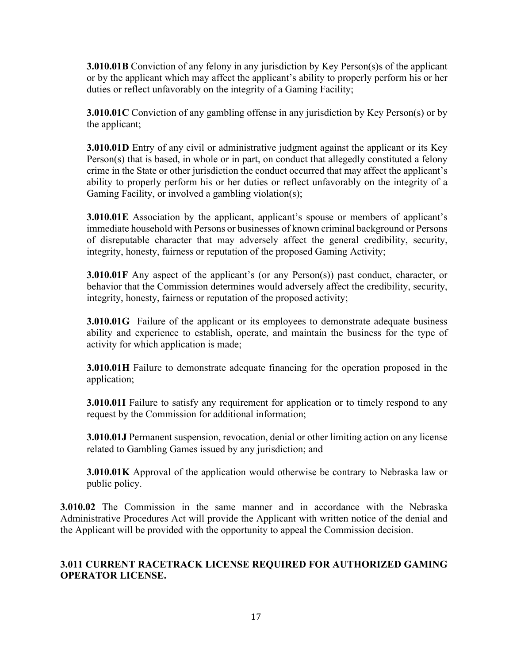**3.010.01B** Conviction of any felony in any jurisdiction by Key Person(s) sof the applicant or by the applicant which may affect the applicant's ability to properly perform his or her duties or reflect unfavorably on the integrity of a Gaming Facility;

**3.010.01C** Conviction of any gambling offense in any jurisdiction by Key Person(s) or by the applicant;

**3.010.01D** Entry of any civil or administrative judgment against the applicant or its Key Person(s) that is based, in whole or in part, on conduct that allegedly constituted a felony crime in the State or other jurisdiction the conduct occurred that may affect the applicant's ability to properly perform his or her duties or reflect unfavorably on the integrity of a Gaming Facility, or involved a gambling violation(s);

**3.010.01E** Association by the applicant, applicant's spouse or members of applicant's immediate household with Persons or businesses of known criminal background or Persons of disreputable character that may adversely affect the general credibility, security, integrity, honesty, fairness or reputation of the proposed Gaming Activity;

**3.010.01F** Any aspect of the applicant's (or any Person(s)) past conduct, character, or behavior that the Commission determines would adversely affect the credibility, security, integrity, honesty, fairness or reputation of the proposed activity;

**3.010.01G** Failure of the applicant or its employees to demonstrate adequate business ability and experience to establish, operate, and maintain the business for the type of activity for which application is made;

**3.010.01H** Failure to demonstrate adequate financing for the operation proposed in the application;

**3.010.01I** Failure to satisfy any requirement for application or to timely respond to any request by the Commission for additional information;

**3.010.01J** Permanent suspension, revocation, denial or other limiting action on any license related to Gambling Games issued by any jurisdiction; and

**3.010.01K** Approval of the application would otherwise be contrary to Nebraska law or public policy.

**3.010.02** The Commission in the same manner and in accordance with the Nebraska Administrative Procedures Act will provide the Applicant with written notice of the denial and the Applicant will be provided with the opportunity to appeal the Commission decision.

# **3.011 CURRENT RACETRACK LICENSE REQUIRED FOR AUTHORIZED GAMING OPERATOR LICENSE.**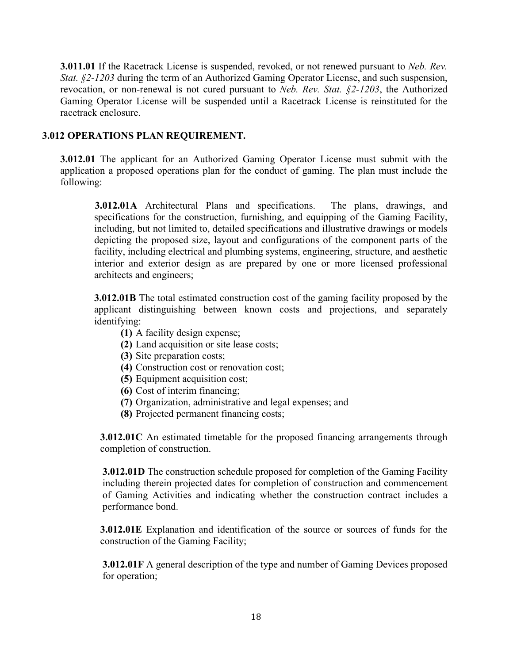**3.011.01** If the Racetrack License is suspended, revoked, or not renewed pursuant to *Neb. Rev. Stat. §2-1203* during the term of an Authorized Gaming Operator License, and such suspension, revocation, or non-renewal is not cured pursuant to *Neb. Rev. Stat. §2-1203*, the Authorized Gaming Operator License will be suspended until a Racetrack License is reinstituted for the racetrack enclosure.

#### **3.012 OPERATIONS PLAN REQUIREMENT.**

**3.012.01** The applicant for an Authorized Gaming Operator License must submit with the application a proposed operations plan for the conduct of gaming. The plan must include the following:

**3.012.01A** Architectural Plans and specifications. The plans, drawings, and specifications for the construction, furnishing, and equipping of the Gaming Facility, including, but not limited to, detailed specifications and illustrative drawings or models depicting the proposed size, layout and configurations of the component parts of the facility, including electrical and plumbing systems, engineering, structure, and aesthetic interior and exterior design as are prepared by one or more licensed professional architects and engineers;

**3.012.01B** The total estimated construction cost of the gaming facility proposed by the applicant distinguishing between known costs and projections, and separately identifying:

- **(1)** A facility design expense;
- **(2)** Land acquisition or site lease costs;
- **(3)** Site preparation costs;
- **(4)** Construction cost or renovation cost;
- **(5)** Equipment acquisition cost;
- **(6)** Cost of interim financing;
- **(7)** Organization, administrative and legal expenses; and
- **(8)** Projected permanent financing costs;

**3.012.01C** An estimated timetable for the proposed financing arrangements through completion of construction.

**3.012.01D** The construction schedule proposed for completion of the Gaming Facility including therein projected dates for completion of construction and commencement of Gaming Activities and indicating whether the construction contract includes a performance bond.

**3.012.01E** Explanation and identification of the source or sources of funds for the construction of the Gaming Facility;

**3.012.01F** A general description of the type and number of Gaming Devices proposed for operation;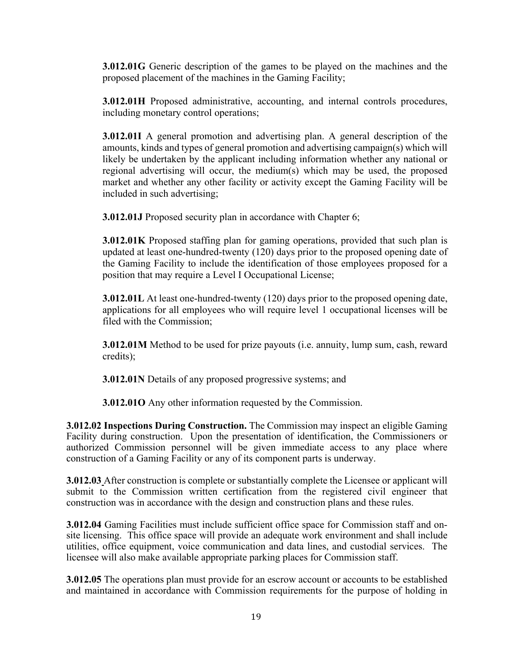**3.012.01G** Generic description of the games to be played on the machines and the proposed placement of the machines in the Gaming Facility;

**3.012.01H** Proposed administrative, accounting, and internal controls procedures, including monetary control operations;

**3.012.01I** A general promotion and advertising plan. A general description of the amounts, kinds and types of general promotion and advertising campaign(s) which will likely be undertaken by the applicant including information whether any national or regional advertising will occur, the medium(s) which may be used, the proposed market and whether any other facility or activity except the Gaming Facility will be included in such advertising;

**3.012.01J** Proposed security plan in accordance with Chapter 6;

**3.012.01K** Proposed staffing plan for gaming operations, provided that such plan is updated at least one-hundred-twenty (120) days prior to the proposed opening date of the Gaming Facility to include the identification of those employees proposed for a position that may require a Level I Occupational License;

**3.012.01L** At least one-hundred-twenty (120) days prior to the proposed opening date, applications for all employees who will require level 1 occupational licenses will be filed with the Commission;

**3.012.01M** Method to be used for prize payouts (i.e. annuity, lump sum, cash, reward credits);

**3.012.01N** Details of any proposed progressive systems; and

**3.012.01O** Any other information requested by the Commission.

**3.012.02 Inspections During Construction.** The Commission may inspect an eligible Gaming Facility during construction. Upon the presentation of identification, the Commissioners or authorized Commission personnel will be given immediate access to any place where construction of a Gaming Facility or any of its component parts is underway.

**3.012.03** After construction is complete or substantially complete the Licensee or applicant will submit to the Commission written certification from the registered civil engineer that construction was in accordance with the design and construction plans and these rules.

**3.012.04** Gaming Facilities must include sufficient office space for Commission staff and onsite licensing. This office space will provide an adequate work environment and shall include utilities, office equipment, voice communication and data lines, and custodial services. The licensee will also make available appropriate parking places for Commission staff.

**3.012.05** The operations plan must provide for an escrow account or accounts to be established and maintained in accordance with Commission requirements for the purpose of holding in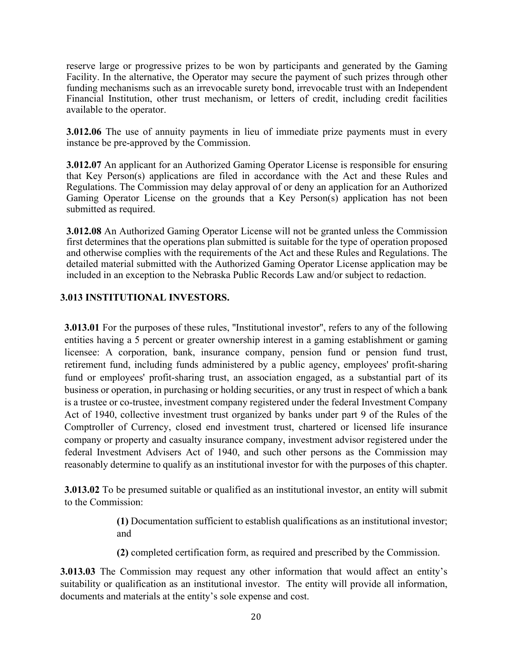reserve large or progressive prizes to be won by participants and generated by the Gaming Facility. In the alternative, the Operator may secure the payment of such prizes through other funding mechanisms such as an irrevocable surety bond, irrevocable trust with an Independent Financial Institution, other trust mechanism, or letters of credit, including credit facilities available to the operator.

**3.012.06** The use of annuity payments in lieu of immediate prize payments must in every instance be pre-approved by the Commission.

**3.012.07** An applicant for an Authorized Gaming Operator License is responsible for ensuring that Key Person(s) applications are filed in accordance with the Act and these Rules and Regulations. The Commission may delay approval of or deny an application for an Authorized Gaming Operator License on the grounds that a Key Person(s) application has not been submitted as required.

**3.012.08** An Authorized Gaming Operator License will not be granted unless the Commission first determines that the operations plan submitted is suitable for the type of operation proposed and otherwise complies with the requirements of the Act and these Rules and Regulations. The detailed material submitted with the Authorized Gaming Operator License application may be included in an exception to the Nebraska Public Records Law and/or subject to redaction.

# **3.013 INSTITUTIONAL INVESTORS.**

**3.013.01** For the purposes of these rules, "Institutional investor", refers to any of the following entities having a 5 percent or greater ownership interest in a gaming establishment or gaming licensee: A corporation, bank, insurance company, pension fund or pension fund trust, retirement fund, including funds administered by a public agency, employees' profit-sharing fund or employees' profit-sharing trust, an association engaged, as a substantial part of its business or operation, in purchasing or holding securities, or any trust in respect of which a bank is a trustee or co-trustee, investment company registered under the federal Investment Company Act of 1940, collective investment trust organized by banks under part 9 of the Rules of the Comptroller of Currency, closed end investment trust, chartered or licensed life insurance company or property and casualty insurance company, investment advisor registered under the federal Investment Advisers Act of 1940, and such other persons as the Commission may reasonably determine to qualify as an institutional investor for with the purposes of this chapter.

**3.013.02** To be presumed suitable or qualified as an institutional investor, an entity will submit to the Commission:

> **(1)** Documentation sufficient to establish qualifications as an institutional investor; and

**(2)** completed certification form, as required and prescribed by the Commission.

**3.013.03** The Commission may request any other information that would affect an entity's suitability or qualification as an institutional investor. The entity will provide all information, documents and materials at the entity's sole expense and cost.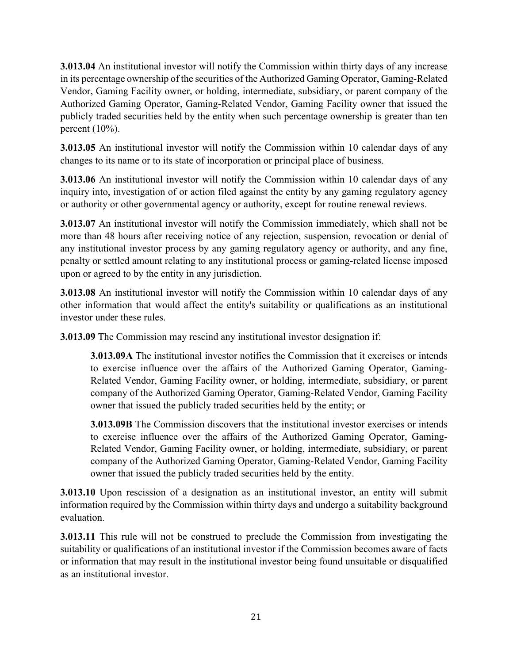**3.013.04** An institutional investor will notify the Commission within thirty days of any increase in its percentage ownership of the securities of the Authorized Gaming Operator, Gaming-Related Vendor, Gaming Facility owner, or holding, intermediate, subsidiary, or parent company of the Authorized Gaming Operator, Gaming-Related Vendor, Gaming Facility owner that issued the publicly traded securities held by the entity when such percentage ownership is greater than ten percent (10%).

**3.013.05** An institutional investor will notify the Commission within 10 calendar days of any changes to its name or to its state of incorporation or principal place of business.

**3.013.06** An institutional investor will notify the Commission within 10 calendar days of any inquiry into, investigation of or action filed against the entity by any gaming regulatory agency or authority or other governmental agency or authority, except for routine renewal reviews.

**3.013.07** An institutional investor will notify the Commission immediately, which shall not be more than 48 hours after receiving notice of any rejection, suspension, revocation or denial of any institutional investor process by any gaming regulatory agency or authority, and any fine, penalty or settled amount relating to any institutional process or gaming-related license imposed upon or agreed to by the entity in any jurisdiction.

**3.013.08** An institutional investor will notify the Commission within 10 calendar days of any other information that would affect the entity's suitability or qualifications as an institutional investor under these rules.

**3.013.09** The Commission may rescind any institutional investor designation if:

**3.013.09A** The institutional investor notifies the Commission that it exercises or intends to exercise influence over the affairs of the Authorized Gaming Operator, Gaming-Related Vendor, Gaming Facility owner, or holding, intermediate, subsidiary, or parent company of the Authorized Gaming Operator, Gaming-Related Vendor, Gaming Facility owner that issued the publicly traded securities held by the entity; or

**3.013.09B** The Commission discovers that the institutional investor exercises or intends to exercise influence over the affairs of the Authorized Gaming Operator, Gaming-Related Vendor, Gaming Facility owner, or holding, intermediate, subsidiary, or parent company of the Authorized Gaming Operator, Gaming-Related Vendor, Gaming Facility owner that issued the publicly traded securities held by the entity.

**3.013.10** Upon rescission of a designation as an institutional investor, an entity will submit information required by the Commission within thirty days and undergo a suitability background evaluation.

**3.013.11** This rule will not be construed to preclude the Commission from investigating the suitability or qualifications of an institutional investor if the Commission becomes aware of facts or information that may result in the institutional investor being found unsuitable or disqualified as an institutional investor.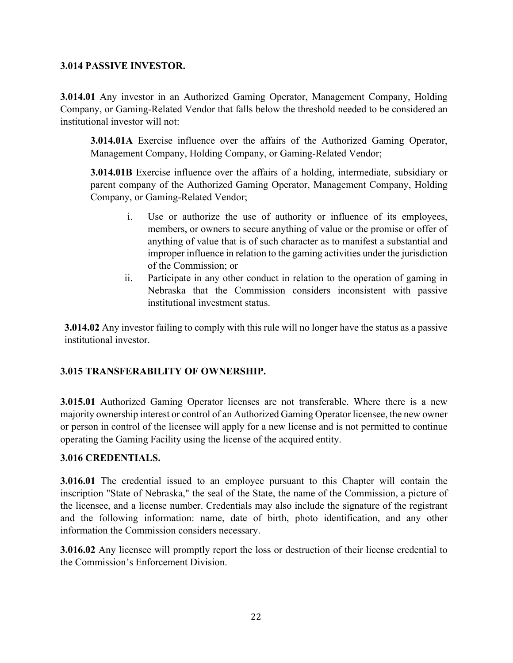#### **3.014 PASSIVE INVESTOR.**

**3.014.01** Any investor in an Authorized Gaming Operator, Management Company, Holding Company, or Gaming-Related Vendor that falls below the threshold needed to be considered an institutional investor will not:

**3.014.01A** Exercise influence over the affairs of the Authorized Gaming Operator, Management Company, Holding Company, or Gaming-Related Vendor;

**3.014.01B** Exercise influence over the affairs of a holding, intermediate, subsidiary or parent company of the Authorized Gaming Operator, Management Company, Holding Company, or Gaming-Related Vendor;

- i. Use or authorize the use of authority or influence of its employees, members, or owners to secure anything of value or the promise or offer of anything of value that is of such character as to manifest a substantial and improper influence in relation to the gaming activities under the jurisdiction of the Commission; or
- ii. Participate in any other conduct in relation to the operation of gaming in Nebraska that the Commission considers inconsistent with passive institutional investment status.

**3.014.02** Any investor failing to comply with this rule will no longer have the status as a passive institutional investor.

# **3.015 TRANSFERABILITY OF OWNERSHIP.**

**3.015.01** Authorized Gaming Operator licenses are not transferable. Where there is a new majority ownership interest or control of an Authorized Gaming Operator licensee, the new owner or person in control of the licensee will apply for a new license and is not permitted to continue operating the Gaming Facility using the license of the acquired entity.

#### **3.016 CREDENTIALS.**

**3.016.01** The credential issued to an employee pursuant to this Chapter will contain the inscription "State of Nebraska," the seal of the State, the name of the Commission, a picture of the licensee, and a license number. Credentials may also include the signature of the registrant and the following information: name, date of birth, photo identification, and any other information the Commission considers necessary.

**3.016.02** Any licensee will promptly report the loss or destruction of their license credential to the Commission's Enforcement Division.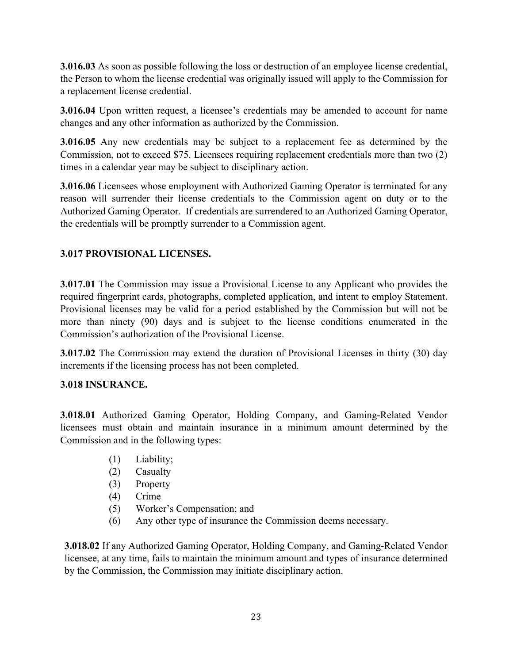**3.016.03** As soon as possible following the loss or destruction of an employee license credential, the Person to whom the license credential was originally issued will apply to the Commission for a replacement license credential.

**3.016.04** Upon written request, a licensee's credentials may be amended to account for name changes and any other information as authorized by the Commission.

**3.016.05** Any new credentials may be subject to a replacement fee as determined by the Commission, not to exceed \$75. Licensees requiring replacement credentials more than two (2) times in a calendar year may be subject to disciplinary action.

**3.016.06** Licensees whose employment with Authorized Gaming Operator is terminated for any reason will surrender their license credentials to the Commission agent on duty or to the Authorized Gaming Operator. If credentials are surrendered to an Authorized Gaming Operator, the credentials will be promptly surrender to a Commission agent.

# **3.017 PROVISIONAL LICENSES.**

**3.017.01** The Commission may issue a Provisional License to any Applicant who provides the required fingerprint cards, photographs, completed application, and intent to employ Statement. Provisional licenses may be valid for a period established by the Commission but will not be more than ninety (90) days and is subject to the license conditions enumerated in the Commission's authorization of the Provisional License.

**3.017.02** The Commission may extend the duration of Provisional Licenses in thirty (30) day increments if the licensing process has not been completed.

# **3.018 INSURANCE.**

**3.018.01** Authorized Gaming Operator, Holding Company, and Gaming-Related Vendor licensees must obtain and maintain insurance in a minimum amount determined by the Commission and in the following types:

- (1) Liability;
- (2) Casualty
- (3) Property
- (4) Crime
- (5) Worker's Compensation; and
- (6) Any other type of insurance the Commission deems necessary.

**3.018.02** If any Authorized Gaming Operator, Holding Company, and Gaming-Related Vendor licensee, at any time, fails to maintain the minimum amount and types of insurance determined by the Commission, the Commission may initiate disciplinary action.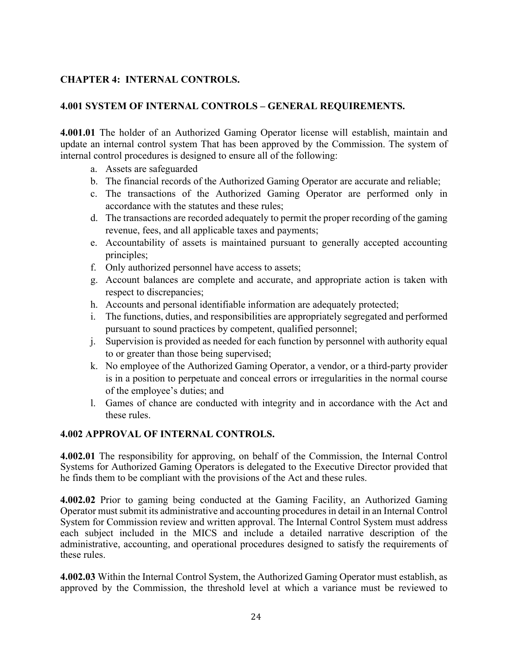# **CHAPTER 4: INTERNAL CONTROLS.**

### **4.001 SYSTEM OF INTERNAL CONTROLS – GENERAL REQUIREMENTS.**

**4.001.01** The holder of an Authorized Gaming Operator license will establish, maintain and update an internal control system That has been approved by the Commission. The system of internal control procedures is designed to ensure all of the following:

- a. Assets are safeguarded
- b. The financial records of the Authorized Gaming Operator are accurate and reliable;
- c. The transactions of the Authorized Gaming Operator are performed only in accordance with the statutes and these rules;
- d. The transactions are recorded adequately to permit the proper recording of the gaming revenue, fees, and all applicable taxes and payments;
- e. Accountability of assets is maintained pursuant to generally accepted accounting principles;
- f. Only authorized personnel have access to assets;
- g. Account balances are complete and accurate, and appropriate action is taken with respect to discrepancies;
- h. Accounts and personal identifiable information are adequately protected;
- i. The functions, duties, and responsibilities are appropriately segregated and performed pursuant to sound practices by competent, qualified personnel;
- j. Supervision is provided as needed for each function by personnel with authority equal to or greater than those being supervised;
- k. No employee of the Authorized Gaming Operator, a vendor, or a third-party provider is in a position to perpetuate and conceal errors or irregularities in the normal course of the employee's duties; and
- l. Games of chance are conducted with integrity and in accordance with the Act and these rules.

#### **4.002 APPROVAL OF INTERNAL CONTROLS.**

**4.002.01** The responsibility for approving, on behalf of the Commission, the Internal Control Systems for Authorized Gaming Operators is delegated to the Executive Director provided that he finds them to be compliant with the provisions of the Act and these rules.

**4.002.02** Prior to gaming being conducted at the Gaming Facility, an Authorized Gaming Operator must submit its administrative and accounting procedures in detail in an Internal Control System for Commission review and written approval. The Internal Control System must address each subject included in the MICS and include a detailed narrative description of the administrative, accounting, and operational procedures designed to satisfy the requirements of these rules.

**4.002.03** Within the Internal Control System, the Authorized Gaming Operator must establish, as approved by the Commission, the threshold level at which a variance must be reviewed to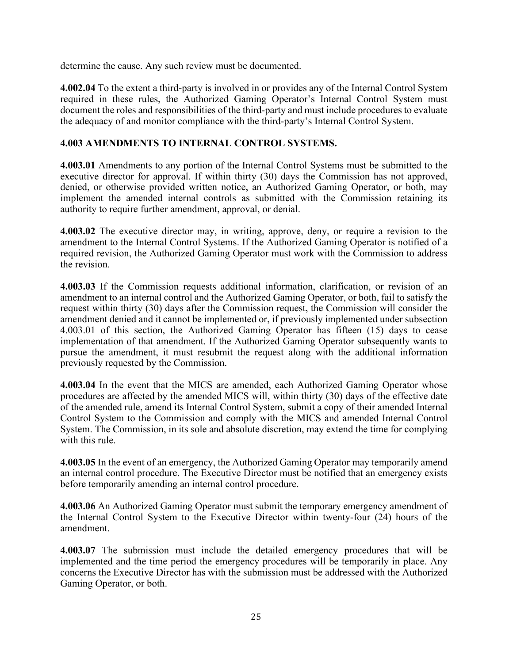determine the cause. Any such review must be documented.

**4.002.04** To the extent a third-party is involved in or provides any of the Internal Control System required in these rules, the Authorized Gaming Operator's Internal Control System must document the roles and responsibilities of the third-party and must include procedures to evaluate the adequacy of and monitor compliance with the third-party's Internal Control System.

#### **4.003 AMENDMENTS TO INTERNAL CONTROL SYSTEMS.**

**4.003.01** Amendments to any portion of the Internal Control Systems must be submitted to the executive director for approval. If within thirty (30) days the Commission has not approved, denied, or otherwise provided written notice, an Authorized Gaming Operator, or both, may implement the amended internal controls as submitted with the Commission retaining its authority to require further amendment, approval, or denial.

**4.003.02** The executive director may, in writing, approve, deny, or require a revision to the amendment to the Internal Control Systems. If the Authorized Gaming Operator is notified of a required revision, the Authorized Gaming Operator must work with the Commission to address the revision.

**4.003.03** If the Commission requests additional information, clarification, or revision of an amendment to an internal control and the Authorized Gaming Operator, or both, fail to satisfy the request within thirty (30) days after the Commission request, the Commission will consider the amendment denied and it cannot be implemented or, if previously implemented under subsection 4.003.01 of this section, the Authorized Gaming Operator has fifteen (15) days to cease implementation of that amendment. If the Authorized Gaming Operator subsequently wants to pursue the amendment, it must resubmit the request along with the additional information previously requested by the Commission.

**4.003.04** In the event that the MICS are amended, each Authorized Gaming Operator whose procedures are affected by the amended MICS will, within thirty (30) days of the effective date of the amended rule, amend its Internal Control System, submit a copy of their amended Internal Control System to the Commission and comply with the MICS and amended Internal Control System. The Commission, in its sole and absolute discretion, may extend the time for complying with this rule.

**4.003.05** In the event of an emergency, the Authorized Gaming Operator may temporarily amend an internal control procedure. The Executive Director must be notified that an emergency exists before temporarily amending an internal control procedure.

**4.003.06** An Authorized Gaming Operator must submit the temporary emergency amendment of the Internal Control System to the Executive Director within twenty-four (24) hours of the amendment.

**4.003.07** The submission must include the detailed emergency procedures that will be implemented and the time period the emergency procedures will be temporarily in place. Any concerns the Executive Director has with the submission must be addressed with the Authorized Gaming Operator, or both.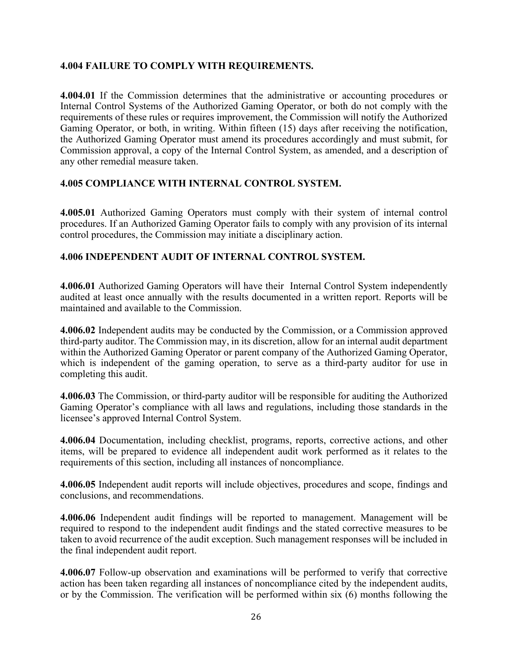#### **4.004 FAILURE TO COMPLY WITH REQUIREMENTS.**

**4.004.01** If the Commission determines that the administrative or accounting procedures or Internal Control Systems of the Authorized Gaming Operator, or both do not comply with the requirements of these rules or requires improvement, the Commission will notify the Authorized Gaming Operator, or both, in writing. Within fifteen (15) days after receiving the notification, the Authorized Gaming Operator must amend its procedures accordingly and must submit, for Commission approval, a copy of the Internal Control System, as amended, and a description of any other remedial measure taken.

#### **4.005 COMPLIANCE WITH INTERNAL CONTROL SYSTEM.**

**4.005.01** Authorized Gaming Operators must comply with their system of internal control procedures. If an Authorized Gaming Operator fails to comply with any provision of its internal control procedures, the Commission may initiate a disciplinary action.

#### **4.006 INDEPENDENT AUDIT OF INTERNAL CONTROL SYSTEM.**

**4.006.01** Authorized Gaming Operators will have their Internal Control System independently audited at least once annually with the results documented in a written report. Reports will be maintained and available to the Commission.

**4.006.02** Independent audits may be conducted by the Commission, or a Commission approved third-party auditor. The Commission may, in its discretion, allow for an internal audit department within the Authorized Gaming Operator or parent company of the Authorized Gaming Operator, which is independent of the gaming operation, to serve as a third-party auditor for use in completing this audit.

**4.006.03** The Commission, or third-party auditor will be responsible for auditing the Authorized Gaming Operator's compliance with all laws and regulations, including those standards in the licensee's approved Internal Control System.

**4.006.04** Documentation, including checklist, programs, reports, corrective actions, and other items, will be prepared to evidence all independent audit work performed as it relates to the requirements of this section, including all instances of noncompliance.

**4.006.05** Independent audit reports will include objectives, procedures and scope, findings and conclusions, and recommendations.

**4.006.06** Independent audit findings will be reported to management. Management will be required to respond to the independent audit findings and the stated corrective measures to be taken to avoid recurrence of the audit exception. Such management responses will be included in the final independent audit report.

**4.006.07** Follow-up observation and examinations will be performed to verify that corrective action has been taken regarding all instances of noncompliance cited by the independent audits, or by the Commission. The verification will be performed within six (6) months following the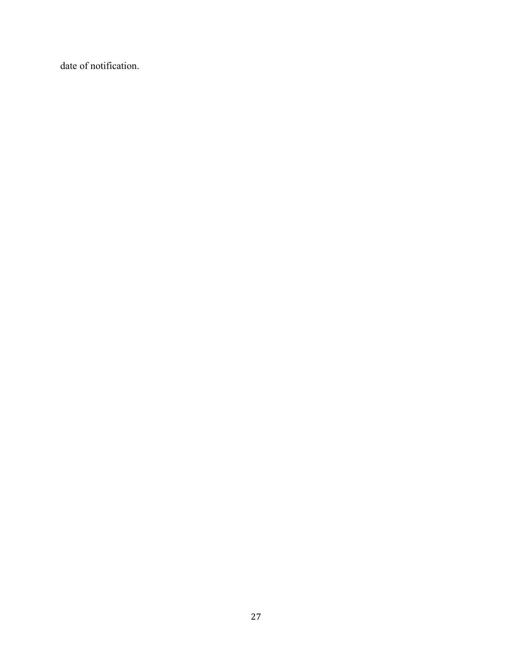date of notification.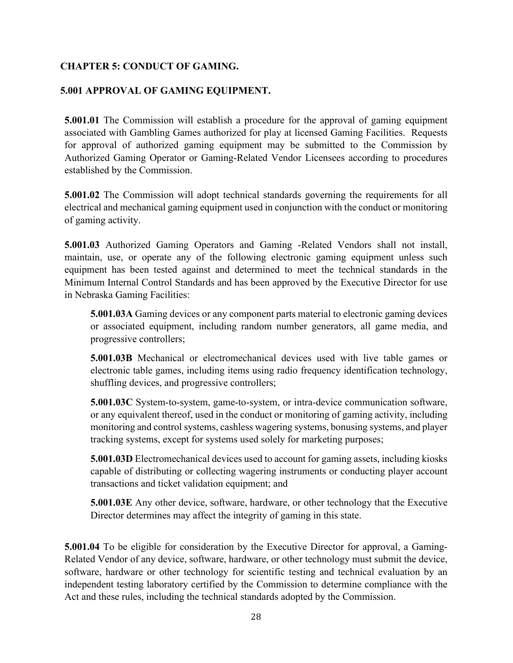# **CHAPTER 5: CONDUCT OF GAMING.**

### **5.001 APPROVAL OF GAMING EQUIPMENT.**

**5.001.01** The Commission will establish a procedure for the approval of gaming equipment associated with Gambling Games authorized for play at licensed Gaming Facilities. Requests for approval of authorized gaming equipment may be submitted to the Commission by Authorized Gaming Operator or Gaming-Related Vendor Licensees according to procedures established by the Commission.

**5.001.02** The Commission will adopt technical standards governing the requirements for all electrical and mechanical gaming equipment used in conjunction with the conduct or monitoring of gaming activity.

**5.001.03** Authorized Gaming Operators and Gaming -Related Vendors shall not install, maintain, use, or operate any of the following electronic gaming equipment unless such equipment has been tested against and determined to meet the technical standards in the Minimum Internal Control Standards and has been approved by the Executive Director for use in Nebraska Gaming Facilities:

**5.001.03A** Gaming devices or any component parts material to electronic gaming devices or associated equipment, including random number generators, all game media, and progressive controllers;

**5.001.03B** Mechanical or electromechanical devices used with live table games or electronic table games, including items using radio frequency identification technology, shuffling devices, and progressive controllers;

**5.001.03C** System-to-system, game-to-system, or intra-device communication software, or any equivalent thereof, used in the conduct or monitoring of gaming activity, including monitoring and control systems, cashless wagering systems, bonusing systems, and player tracking systems, except for systems used solely for marketing purposes;

**5.001.03D** Electromechanical devices used to account for gaming assets, including kiosks capable of distributing or collecting wagering instruments or conducting player account transactions and ticket validation equipment; and

**5.001.03E** Any other device, software, hardware, or other technology that the Executive Director determines may affect the integrity of gaming in this state.

**5.001.04** To be eligible for consideration by the Executive Director for approval, a Gaming-Related Vendor of any device, software, hardware, or other technology must submit the device, software, hardware or other technology for scientific testing and technical evaluation by an independent testing laboratory certified by the Commission to determine compliance with the Act and these rules, including the technical standards adopted by the Commission.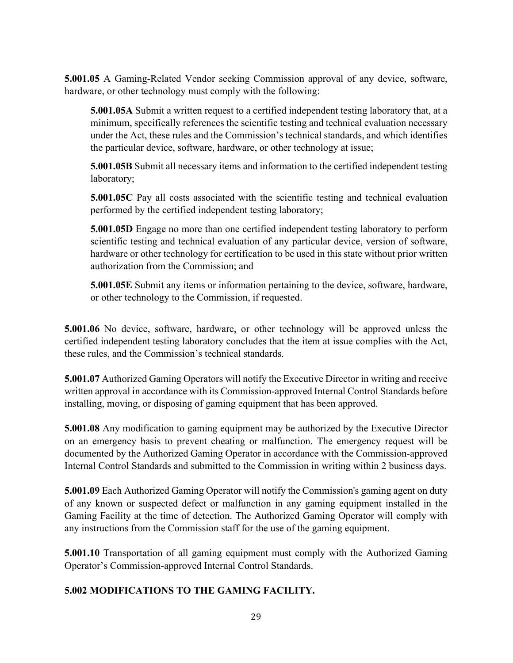**5.001.05** A Gaming-Related Vendor seeking Commission approval of any device, software, hardware, or other technology must comply with the following:

**5.001.05A** Submit a written request to a certified independent testing laboratory that, at a minimum, specifically references the scientific testing and technical evaluation necessary under the Act, these rules and the Commission's technical standards, and which identifies the particular device, software, hardware, or other technology at issue;

**5.001.05B** Submit all necessary items and information to the certified independent testing laboratory;

**5.001.05C** Pay all costs associated with the scientific testing and technical evaluation performed by the certified independent testing laboratory;

**5.001.05D** Engage no more than one certified independent testing laboratory to perform scientific testing and technical evaluation of any particular device, version of software, hardware or other technology for certification to be used in this state without prior written authorization from the Commission; and

**5.001.05E** Submit any items or information pertaining to the device, software, hardware, or other technology to the Commission, if requested.

**5.001.06** No device, software, hardware, or other technology will be approved unless the certified independent testing laboratory concludes that the item at issue complies with the Act, these rules, and the Commission's technical standards.

**5.001.07** Authorized Gaming Operators will notify the Executive Director in writing and receive written approval in accordance with its Commission-approved Internal Control Standards before installing, moving, or disposing of gaming equipment that has been approved.

**5.001.08** Any modification to gaming equipment may be authorized by the Executive Director on an emergency basis to prevent cheating or malfunction. The emergency request will be documented by the Authorized Gaming Operator in accordance with the Commission-approved Internal Control Standards and submitted to the Commission in writing within 2 business days.

**5.001.09** Each Authorized Gaming Operator will notify the Commission's gaming agent on duty of any known or suspected defect or malfunction in any gaming equipment installed in the Gaming Facility at the time of detection. The Authorized Gaming Operator will comply with any instructions from the Commission staff for the use of the gaming equipment.

**5.001.10** Transportation of all gaming equipment must comply with the Authorized Gaming Operator's Commission-approved Internal Control Standards.

# **5.002 MODIFICATIONS TO THE GAMING FACILITY.**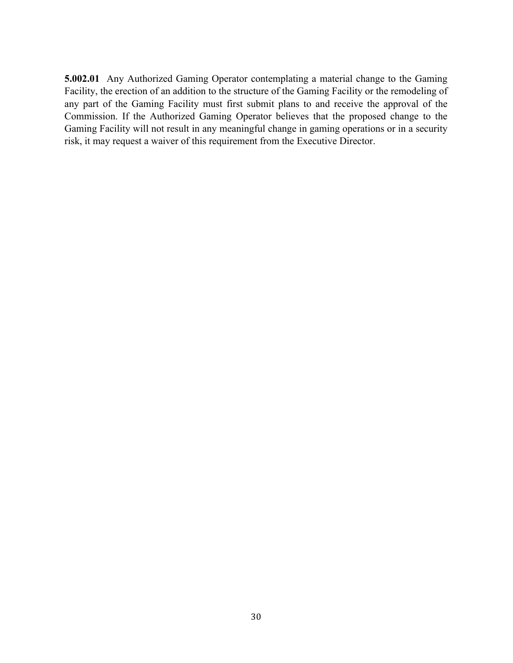**5.002.01** Any Authorized Gaming Operator contemplating a material change to the Gaming Facility, the erection of an addition to the structure of the Gaming Facility or the remodeling of any part of the Gaming Facility must first submit plans to and receive the approval of the Commission. If the Authorized Gaming Operator believes that the proposed change to the Gaming Facility will not result in any meaningful change in gaming operations or in a security risk, it may request a waiver of this requirement from the Executive Director.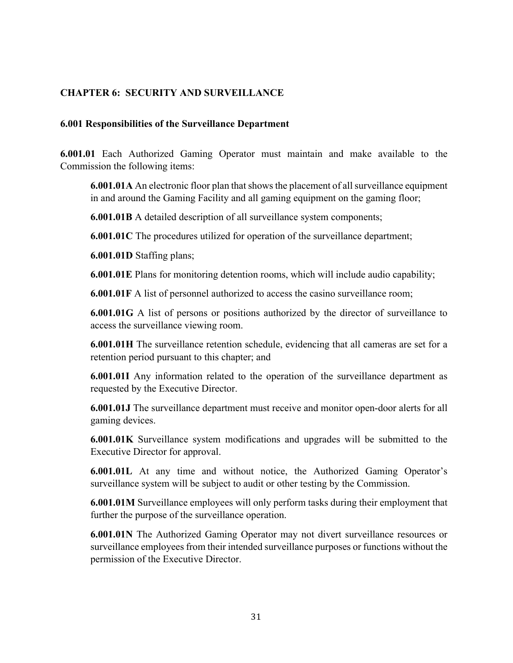# **CHAPTER 6: SECURITY AND SURVEILLANCE**

#### **6.001 Responsibilities of the Surveillance Department**

**6.001.01** Each Authorized Gaming Operator must maintain and make available to the Commission the following items:

**6.001.01A** An electronic floor plan that shows the placement of all surveillance equipment in and around the Gaming Facility and all gaming equipment on the gaming floor;

**6.001.01B** A detailed description of all surveillance system components;

**6.001.01C** The procedures utilized for operation of the surveillance department;

**6.001.01D** Staffing plans;

**6.001.01E** Plans for monitoring detention rooms, which will include audio capability;

**6.001.01F** A list of personnel authorized to access the casino surveillance room;

**6.001.01G** A list of persons or positions authorized by the director of surveillance to access the surveillance viewing room.

**6.001.01H** The surveillance retention schedule, evidencing that all cameras are set for a retention period pursuant to this chapter; and

**6.001.01I** Any information related to the operation of the surveillance department as requested by the Executive Director.

**6.001.01J** The surveillance department must receive and monitor open-door alerts for all gaming devices.

**6.001.01K** Surveillance system modifications and upgrades will be submitted to the Executive Director for approval.

**6.001.01L** At any time and without notice, the Authorized Gaming Operator's surveillance system will be subject to audit or other testing by the Commission.

**6.001.01M** Surveillance employees will only perform tasks during their employment that further the purpose of the surveillance operation.

**6.001.01N** The Authorized Gaming Operator may not divert surveillance resources or surveillance employees from their intended surveillance purposes or functions without the permission of the Executive Director.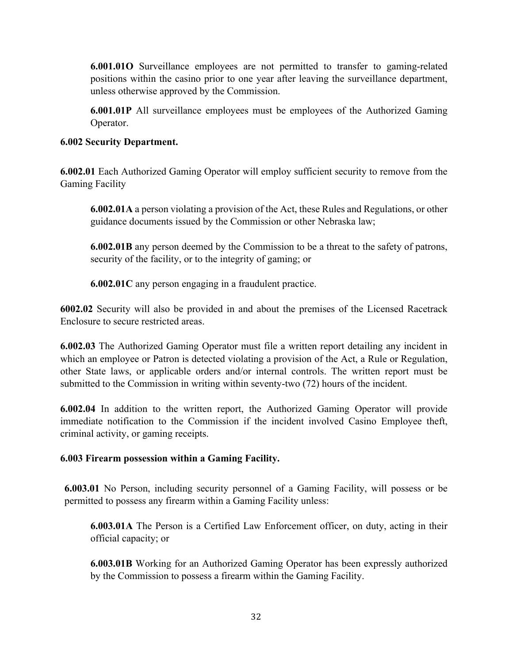**6.001.01O** Surveillance employees are not permitted to transfer to gaming-related positions within the casino prior to one year after leaving the surveillance department, unless otherwise approved by the Commission.

**6.001.01P** All surveillance employees must be employees of the Authorized Gaming Operator.

# **6.002 Security Department.**

**6.002.01** Each Authorized Gaming Operator will employ sufficient security to remove from the Gaming Facility

**6.002.01A** a person violating a provision of the Act, these Rules and Regulations, or other guidance documents issued by the Commission or other Nebraska law;

**6.002.01B** any person deemed by the Commission to be a threat to the safety of patrons, security of the facility, or to the integrity of gaming; or

**6.002.01C** any person engaging in a fraudulent practice.

**6002.02** Security will also be provided in and about the premises of the Licensed Racetrack Enclosure to secure restricted areas.

**6.002.03** The Authorized Gaming Operator must file a written report detailing any incident in which an employee or Patron is detected violating a provision of the Act, a Rule or Regulation, other State laws, or applicable orders and/or internal controls. The written report must be submitted to the Commission in writing within seventy-two (72) hours of the incident.

**6.002.04** In addition to the written report, the Authorized Gaming Operator will provide immediate notification to the Commission if the incident involved Casino Employee theft, criminal activity, or gaming receipts.

# **6.003 Firearm possession within a Gaming Facility.**

**6.003.01** No Person, including security personnel of a Gaming Facility, will possess or be permitted to possess any firearm within a Gaming Facility unless:

**6.003.01A** The Person is a Certified Law Enforcement officer, on duty, acting in their official capacity; or

**6.003.01B** Working for an Authorized Gaming Operator has been expressly authorized by the Commission to possess a firearm within the Gaming Facility.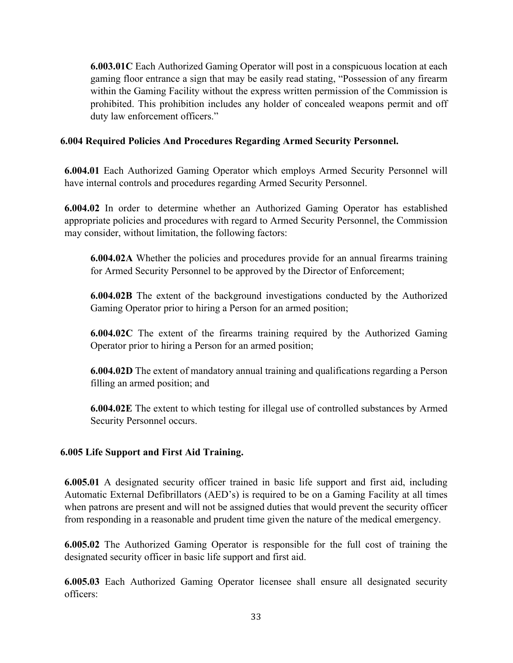**6.003.01C** Each Authorized Gaming Operator will post in a conspicuous location at each gaming floor entrance a sign that may be easily read stating, "Possession of any firearm within the Gaming Facility without the express written permission of the Commission is prohibited. This prohibition includes any holder of concealed weapons permit and off duty law enforcement officers."

### **6.004 Required Policies And Procedures Regarding Armed Security Personnel.**

**6.004.01** Each Authorized Gaming Operator which employs Armed Security Personnel will have internal controls and procedures regarding Armed Security Personnel.

**6.004.02** In order to determine whether an Authorized Gaming Operator has established appropriate policies and procedures with regard to Armed Security Personnel, the Commission may consider, without limitation, the following factors:

**6.004.02A** Whether the policies and procedures provide for an annual firearms training for Armed Security Personnel to be approved by the Director of Enforcement;

**6.004.02B** The extent of the background investigations conducted by the Authorized Gaming Operator prior to hiring a Person for an armed position;

**6.004.02C** The extent of the firearms training required by the Authorized Gaming Operator prior to hiring a Person for an armed position;

**6.004.02D** The extent of mandatory annual training and qualifications regarding a Person filling an armed position; and

**6.004.02E** The extent to which testing for illegal use of controlled substances by Armed Security Personnel occurs.

# **6.005 Life Support and First Aid Training.**

**6.005.01** A designated security officer trained in basic life support and first aid, including Automatic External Defibrillators (AED's) is required to be on a Gaming Facility at all times when patrons are present and will not be assigned duties that would prevent the security officer from responding in a reasonable and prudent time given the nature of the medical emergency.

**6.005.02** The Authorized Gaming Operator is responsible for the full cost of training the designated security officer in basic life support and first aid.

**6.005.03** Each Authorized Gaming Operator licensee shall ensure all designated security officers: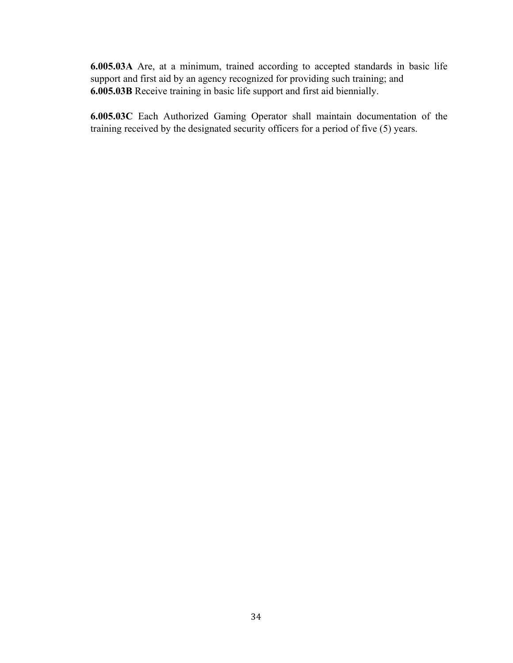**6.005.03A** Are, at a minimum, trained according to accepted standards in basic life support and first aid by an agency recognized for providing such training; and **6.005.03B** Receive training in basic life support and first aid biennially.

**6.005.03C** Each Authorized Gaming Operator shall maintain documentation of the training received by the designated security officers for a period of five (5) years.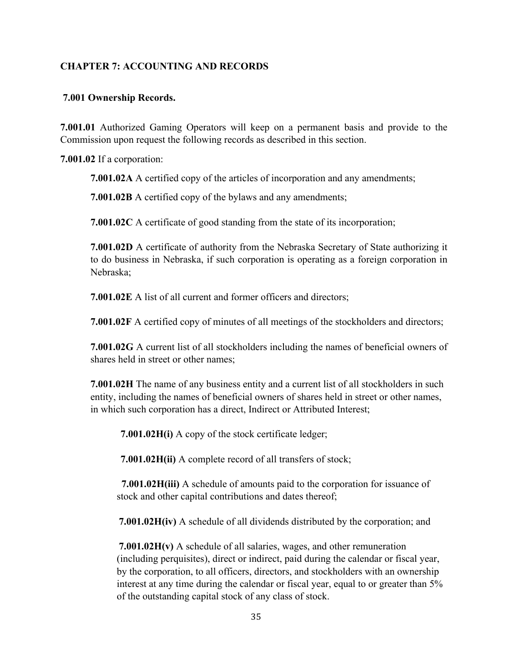# **CHAPTER 7: ACCOUNTING AND RECORDS**

#### **7.001 Ownership Records.**

**7.001.01** Authorized Gaming Operators will keep on a permanent basis and provide to the Commission upon request the following records as described in this section.

**7.001.02** If a corporation:

**7.001.02A** A certified copy of the articles of incorporation and any amendments;

**7.001.02B** A certified copy of the bylaws and any amendments;

**7.001.02C** A certificate of good standing from the state of its incorporation;

**7.001.02D** A certificate of authority from the Nebraska Secretary of State authorizing it to do business in Nebraska, if such corporation is operating as a foreign corporation in Nebraska;

**7.001.02E** A list of all current and former officers and directors;

**7.001.02F** A certified copy of minutes of all meetings of the stockholders and directors;

**7.001.02G** A current list of all stockholders including the names of beneficial owners of shares held in street or other names;

**7.001.02H** The name of any business entity and a current list of all stockholders in such entity, including the names of beneficial owners of shares held in street or other names, in which such corporation has a direct, Indirect or Attributed Interest;

**7.001.02H(i)** A copy of the stock certificate ledger;

**7.001.02H(ii)** A complete record of all transfers of stock;

 **7.001.02H(iii)** A schedule of amounts paid to the corporation for issuance of stock and other capital contributions and dates thereof;

**7.001.02H(iv)** A schedule of all dividends distributed by the corporation; and

**7.001.02H(v)** A schedule of all salaries, wages, and other remuneration (including perquisites), direct or indirect, paid during the calendar or fiscal year, by the corporation, to all officers, directors, and stockholders with an ownership interest at any time during the calendar or fiscal year, equal to or greater than 5% of the outstanding capital stock of any class of stock.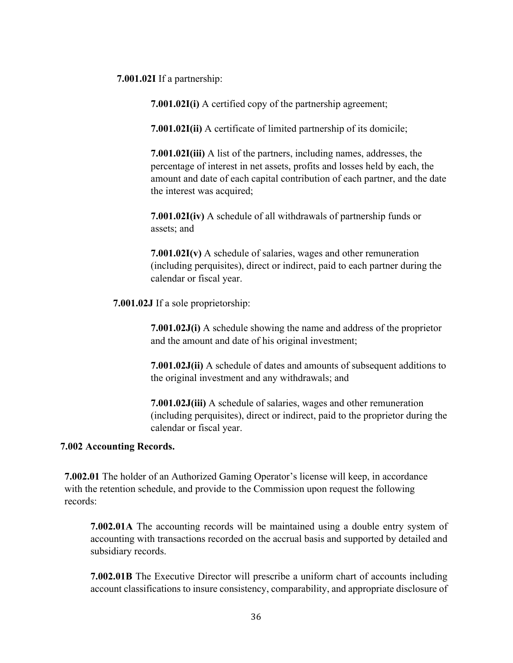**7.001.02I** If a partnership:

**7.001.02I(i)** A certified copy of the partnership agreement;

**7.001.02I(ii)** A certificate of limited partnership of its domicile;

**7.001.02I(iii)** A list of the partners, including names, addresses, the percentage of interest in net assets, profits and losses held by each, the amount and date of each capital contribution of each partner, and the date the interest was acquired;

**7.001.02I(iv)** A schedule of all withdrawals of partnership funds or assets; and

**7.001.02I(v)** A schedule of salaries, wages and other remuneration (including perquisites), direct or indirect, paid to each partner during the calendar or fiscal year.

**7.001.02J** If a sole proprietorship:

**7.001.02J(i)** A schedule showing the name and address of the proprietor and the amount and date of his original investment;

**7.001.02J(ii)** A schedule of dates and amounts of subsequent additions to the original investment and any withdrawals; and

**7.001.02J(iii)** A schedule of salaries, wages and other remuneration (including perquisites), direct or indirect, paid to the proprietor during the calendar or fiscal year.

#### **7.002 Accounting Records.**

**7.002.01** The holder of an Authorized Gaming Operator's license will keep, in accordance with the retention schedule, and provide to the Commission upon request the following records:

**7.002.01A** The accounting records will be maintained using a double entry system of accounting with transactions recorded on the accrual basis and supported by detailed and subsidiary records.

**7.002.01B** The Executive Director will prescribe a uniform chart of accounts including account classifications to insure consistency, comparability, and appropriate disclosure of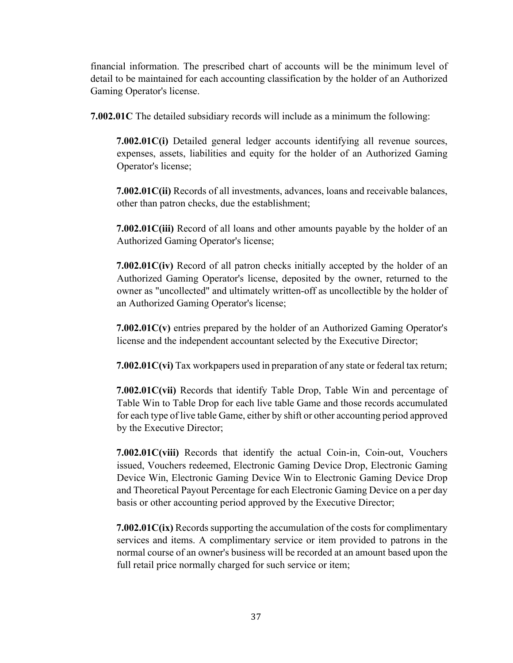financial information. The prescribed chart of accounts will be the minimum level of detail to be maintained for each accounting classification by the holder of an Authorized Gaming Operator's license.

**7.002.01C** The detailed subsidiary records will include as a minimum the following:

**7.002.01C(i)** Detailed general ledger accounts identifying all revenue sources, expenses, assets, liabilities and equity for the holder of an Authorized Gaming Operator's license;

**7.002.01C(ii)** Records of all investments, advances, loans and receivable balances, other than patron checks, due the establishment;

**7.002.01C(iii)** Record of all loans and other amounts payable by the holder of an Authorized Gaming Operator's license;

**7.002.01C(iv)** Record of all patron checks initially accepted by the holder of an Authorized Gaming Operator's license, deposited by the owner, returned to the owner as "uncollected" and ultimately written-off as uncollectible by the holder of an Authorized Gaming Operator's license;

**7.002.01C(v)** entries prepared by the holder of an Authorized Gaming Operator's license and the independent accountant selected by the Executive Director;

**7.002.01C(vi)** Tax workpapers used in preparation of any state or federal tax return;

**7.002.01C(vii)** Records that identify Table Drop, Table Win and percentage of Table Win to Table Drop for each live table Game and those records accumulated for each type of live table Game, either by shift or other accounting period approved by the Executive Director;

**7.002.01C(viii)** Records that identify the actual Coin-in, Coin-out, Vouchers issued, Vouchers redeemed, Electronic Gaming Device Drop, Electronic Gaming Device Win, Electronic Gaming Device Win to Electronic Gaming Device Drop and Theoretical Payout Percentage for each Electronic Gaming Device on a per day basis or other accounting period approved by the Executive Director;

**7.002.01C(ix)** Records supporting the accumulation of the costs for complimentary services and items. A complimentary service or item provided to patrons in the normal course of an owner's business will be recorded at an amount based upon the full retail price normally charged for such service or item;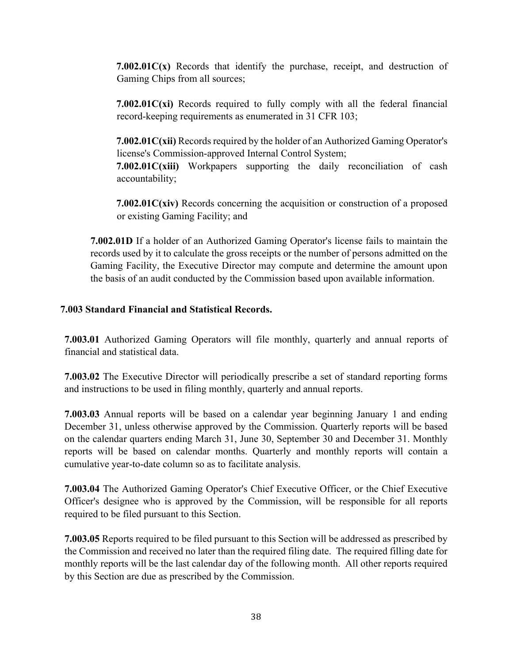**7.002.01C(x)** Records that identify the purchase, receipt, and destruction of Gaming Chips from all sources;

**7.002.01C(xi)** Records required to fully comply with all the federal financial record-keeping requirements as enumerated in 31 CFR 103;

**7.002.01C(xii)** Records required by the holder of an Authorized Gaming Operator's license's Commission-approved Internal Control System; **7.002.01C(xiii)** Workpapers supporting the daily reconciliation of cash accountability;

**7.002.01C(xiv)** Records concerning the acquisition or construction of a proposed or existing Gaming Facility; and

**7.002.01D** If a holder of an Authorized Gaming Operator's license fails to maintain the records used by it to calculate the gross receipts or the number of persons admitted on the Gaming Facility, the Executive Director may compute and determine the amount upon the basis of an audit conducted by the Commission based upon available information.

#### **7.003 Standard Financial and Statistical Records.**

**7.003.01** Authorized Gaming Operators will file monthly, quarterly and annual reports of financial and statistical data.

**7.003.02** The Executive Director will periodically prescribe a set of standard reporting forms and instructions to be used in filing monthly, quarterly and annual reports.

**7.003.03** Annual reports will be based on a calendar year beginning January 1 and ending December 31, unless otherwise approved by the Commission. Quarterly reports will be based on the calendar quarters ending March 31, June 30, September 30 and December 31. Monthly reports will be based on calendar months. Quarterly and monthly reports will contain a cumulative year-to-date column so as to facilitate analysis.

**7.003.04** The Authorized Gaming Operator's Chief Executive Officer, or the Chief Executive Officer's designee who is approved by the Commission, will be responsible for all reports required to be filed pursuant to this Section.

**7.003.05** Reports required to be filed pursuant to this Section will be addressed as prescribed by the Commission and received no later than the required filing date. The required filling date for monthly reports will be the last calendar day of the following month. All other reports required by this Section are due as prescribed by the Commission.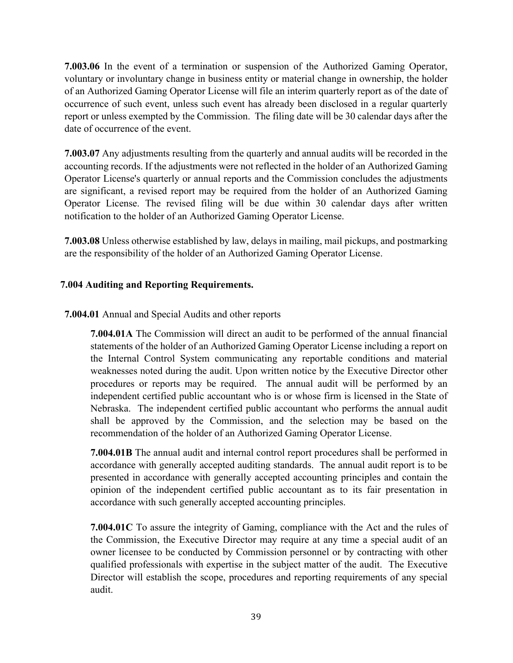**7.003.06** In the event of a termination or suspension of the Authorized Gaming Operator, voluntary or involuntary change in business entity or material change in ownership, the holder of an Authorized Gaming Operator License will file an interim quarterly report as of the date of occurrence of such event, unless such event has already been disclosed in a regular quarterly report or unless exempted by the Commission. The filing date will be 30 calendar days after the date of occurrence of the event.

**7.003.07** Any adjustments resulting from the quarterly and annual audits will be recorded in the accounting records. If the adjustments were not reflected in the holder of an Authorized Gaming Operator License's quarterly or annual reports and the Commission concludes the adjustments are significant, a revised report may be required from the holder of an Authorized Gaming Operator License. The revised filing will be due within 30 calendar days after written notification to the holder of an Authorized Gaming Operator License.

**7.003.08** Unless otherwise established by law, delays in mailing, mail pickups, and postmarking are the responsibility of the holder of an Authorized Gaming Operator License.

# **7.004 Auditing and Reporting Requirements.**

**7.004.01** Annual and Special Audits and other reports

**7.004.01A** The Commission will direct an audit to be performed of the annual financial statements of the holder of an Authorized Gaming Operator License including a report on the Internal Control System communicating any reportable conditions and material weaknesses noted during the audit. Upon written notice by the Executive Director other procedures or reports may be required. The annual audit will be performed by an independent certified public accountant who is or whose firm is licensed in the State of Nebraska. The independent certified public accountant who performs the annual audit shall be approved by the Commission, and the selection may be based on the recommendation of the holder of an Authorized Gaming Operator License.

**7.004.01B** The annual audit and internal control report procedures shall be performed in accordance with generally accepted auditing standards. The annual audit report is to be presented in accordance with generally accepted accounting principles and contain the opinion of the independent certified public accountant as to its fair presentation in accordance with such generally accepted accounting principles.

**7.004.01C** To assure the integrity of Gaming, compliance with the Act and the rules of the Commission, the Executive Director may require at any time a special audit of an owner licensee to be conducted by Commission personnel or by contracting with other qualified professionals with expertise in the subject matter of the audit. The Executive Director will establish the scope, procedures and reporting requirements of any special audit.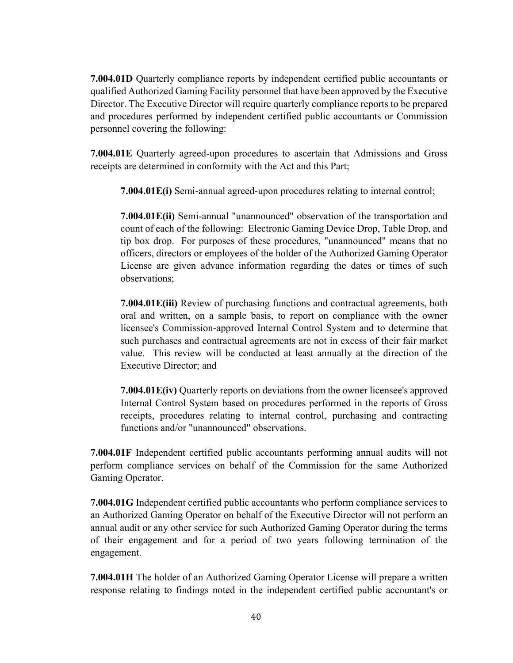**7.004.01D** Quarterly compliance reports by independent certified public accountants or qualified Authorized Gaming Facility personnel that have been approved by the Executive Director. The Executive Director will require quarterly compliance reports to be prepared and procedures performed by independent certified public accountants or Commission personnel covering the following:

**7.004.01E** Quarterly agreed-upon procedures to ascertain that Admissions and Gross receipts are determined in conformity with the Act and this Part;

**7.004.01E(i)** Semi-annual agreed-upon procedures relating to internal control;

**7.004.01E(ii)** Semi-annual "unannounced" observation of the transportation and count of each of the following: Electronic Gaming Device Drop, Table Drop, and tip box drop. For purposes of these procedures, "unannounced" means that no officers, directors or employees of the holder of the Authorized Gaming Operator License are given advance information regarding the dates or times of such observations;

**7.004.01E(iii)** Review of purchasing functions and contractual agreements, both oral and written, on a sample basis, to report on compliance with the owner licensee's Commission-approved Internal Control System and to determine that such purchases and contractual agreements are not in excess of their fair market value. This review will be conducted at least annually at the direction of the Executive Director; and

**7.004.01E(iv)** Quarterly reports on deviations from the owner licensee's approved Internal Control System based on procedures performed in the reports of Gross receipts, procedures relating to internal control, purchasing and contracting functions and/or "unannounced" observations.

**7.004.01F** Independent certified public accountants performing annual audits will not perform compliance services on behalf of the Commission for the same Authorized Gaming Operator.

**7.004.01G** Independent certified public accountants who perform compliance services to an Authorized Gaming Operator on behalf of the Executive Director will not perform an annual audit or any other service for such Authorized Gaming Operator during the terms of their engagement and for a period of two years following termination of the engagement.

**7.004.01H** The holder of an Authorized Gaming Operator License will prepare a written response relating to findings noted in the independent certified public accountant's or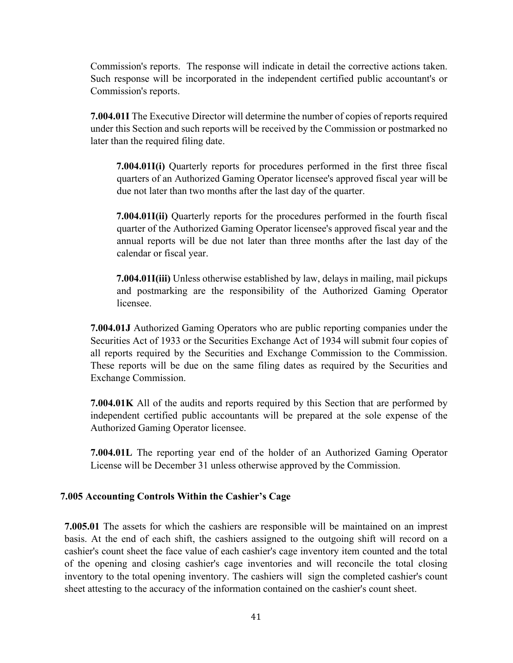Commission's reports. The response will indicate in detail the corrective actions taken. Such response will be incorporated in the independent certified public accountant's or Commission's reports.

**7.004.01I** The Executive Director will determine the number of copies of reports required under this Section and such reports will be received by the Commission or postmarked no later than the required filing date.

**7.004.01I(i)** Quarterly reports for procedures performed in the first three fiscal quarters of an Authorized Gaming Operator licensee's approved fiscal year will be due not later than two months after the last day of the quarter.

**7.004.01I(ii)** Quarterly reports for the procedures performed in the fourth fiscal quarter of the Authorized Gaming Operator licensee's approved fiscal year and the annual reports will be due not later than three months after the last day of the calendar or fiscal year.

**7.004.01I(iii)** Unless otherwise established by law, delays in mailing, mail pickups and postmarking are the responsibility of the Authorized Gaming Operator licensee.

**7.004.01J** Authorized Gaming Operators who are public reporting companies under the Securities Act of 1933 or the Securities Exchange Act of 1934 will submit four copies of all reports required by the Securities and Exchange Commission to the Commission. These reports will be due on the same filing dates as required by the Securities and Exchange Commission.

**7.004.01K** All of the audits and reports required by this Section that are performed by independent certified public accountants will be prepared at the sole expense of the Authorized Gaming Operator licensee.

**7.004.01L** The reporting year end of the holder of an Authorized Gaming Operator License will be December 31 unless otherwise approved by the Commission.

#### **7.005 Accounting Controls Within the Cashier's Cage**

**7.005.01** The assets for which the cashiers are responsible will be maintained on an imprest basis. At the end of each shift, the cashiers assigned to the outgoing shift will record on a cashier's count sheet the face value of each cashier's cage inventory item counted and the total of the opening and closing cashier's cage inventories and will reconcile the total closing inventory to the total opening inventory. The cashiers will sign the completed cashier's count sheet attesting to the accuracy of the information contained on the cashier's count sheet.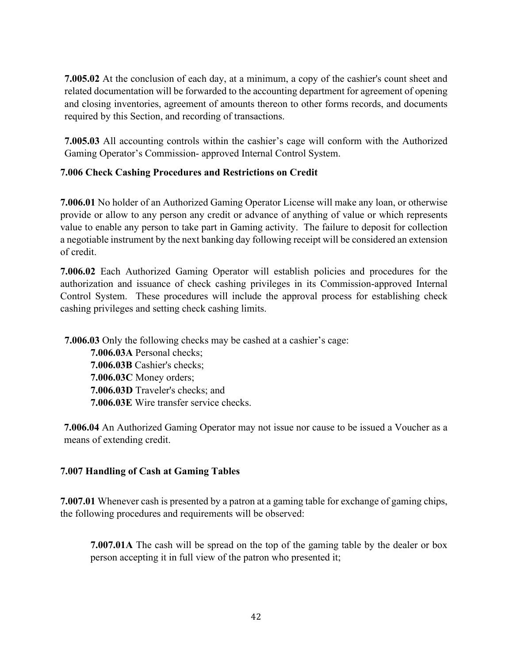**7.005.02** At the conclusion of each day, at a minimum, a copy of the cashier's count sheet and related documentation will be forwarded to the accounting department for agreement of opening and closing inventories, agreement of amounts thereon to other forms records, and documents required by this Section, and recording of transactions.

**7.005.03** All accounting controls within the cashier's cage will conform with the Authorized Gaming Operator's Commission- approved Internal Control System.

# **7.006 Check Cashing Procedures and Restrictions on Credit**

**7.006.01** No holder of an Authorized Gaming Operator License will make any loan, or otherwise provide or allow to any person any credit or advance of anything of value or which represents value to enable any person to take part in Gaming activity. The failure to deposit for collection a negotiable instrument by the next banking day following receipt will be considered an extension of credit.

**7.006.02** Each Authorized Gaming Operator will establish policies and procedures for the authorization and issuance of check cashing privileges in its Commission-approved Internal Control System. These procedures will include the approval process for establishing check cashing privileges and setting check cashing limits.

**7.006.03** Only the following checks may be cashed at a cashier's cage: **7.006.03A** Personal checks; **7.006.03B** Cashier's checks; **7.006.03C** Money orders; **7.006.03D** Traveler's checks; and **7.006.03E** Wire transfer service checks.

**7.006.04** An Authorized Gaming Operator may not issue nor cause to be issued a Voucher as a means of extending credit.

# **7.007 Handling of Cash at Gaming Tables**

**7.007.01** Whenever cash is presented by a patron at a gaming table for exchange of gaming chips, the following procedures and requirements will be observed:

**7.007.01A** The cash will be spread on the top of the gaming table by the dealer or box person accepting it in full view of the patron who presented it;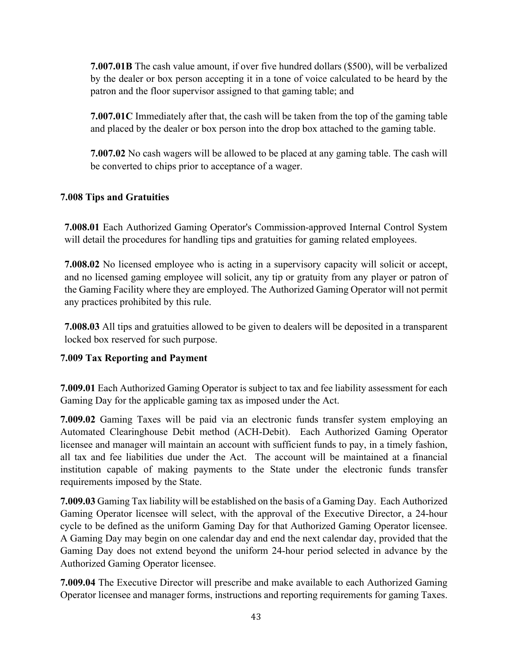**7.007.01B** The cash value amount, if over five hundred dollars (\$500), will be verbalized by the dealer or box person accepting it in a tone of voice calculated to be heard by the patron and the floor supervisor assigned to that gaming table; and

**7.007.01C** Immediately after that, the cash will be taken from the top of the gaming table and placed by the dealer or box person into the drop box attached to the gaming table.

**7.007.02** No cash wagers will be allowed to be placed at any gaming table. The cash will be converted to chips prior to acceptance of a wager.

# **7.008 Tips and Gratuities**

**7.008.01** Each Authorized Gaming Operator's Commission-approved Internal Control System will detail the procedures for handling tips and gratuities for gaming related employees.

**7.008.02** No licensed employee who is acting in a supervisory capacity will solicit or accept, and no licensed gaming employee will solicit, any tip or gratuity from any player or patron of the Gaming Facility where they are employed. The Authorized Gaming Operator will not permit any practices prohibited by this rule.

**7.008.03** All tips and gratuities allowed to be given to dealers will be deposited in a transparent locked box reserved for such purpose.

# **7.009 Tax Reporting and Payment**

**7.009.01** Each Authorized Gaming Operator is subject to tax and fee liability assessment for each Gaming Day for the applicable gaming tax as imposed under the Act.

**7.009.02** Gaming Taxes will be paid via an electronic funds transfer system employing an Automated Clearinghouse Debit method (ACH-Debit). Each Authorized Gaming Operator licensee and manager will maintain an account with sufficient funds to pay, in a timely fashion, all tax and fee liabilities due under the Act. The account will be maintained at a financial institution capable of making payments to the State under the electronic funds transfer requirements imposed by the State.

**7.009.03** Gaming Tax liability will be established on the basis of a Gaming Day. Each Authorized Gaming Operator licensee will select, with the approval of the Executive Director, a 24-hour cycle to be defined as the uniform Gaming Day for that Authorized Gaming Operator licensee. A Gaming Day may begin on one calendar day and end the next calendar day, provided that the Gaming Day does not extend beyond the uniform 24-hour period selected in advance by the Authorized Gaming Operator licensee.

**7.009.04** The Executive Director will prescribe and make available to each Authorized Gaming Operator licensee and manager forms, instructions and reporting requirements for gaming Taxes.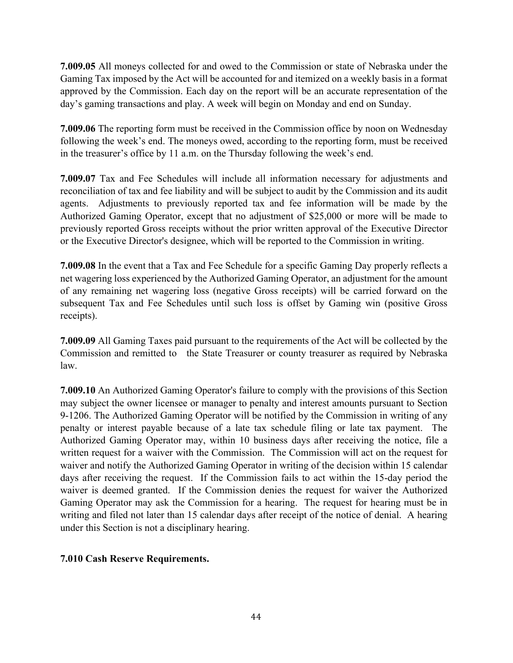**7.009.05** All moneys collected for and owed to the Commission or state of Nebraska under the Gaming Tax imposed by the Act will be accounted for and itemized on a weekly basis in a format approved by the Commission. Each day on the report will be an accurate representation of the day's gaming transactions and play. A week will begin on Monday and end on Sunday.

**7.009.06** The reporting form must be received in the Commission office by noon on Wednesday following the week's end. The moneys owed, according to the reporting form, must be received in the treasurer's office by 11 a.m. on the Thursday following the week's end.

**7.009.07** Tax and Fee Schedules will include all information necessary for adjustments and reconciliation of tax and fee liability and will be subject to audit by the Commission and its audit agents. Adjustments to previously reported tax and fee information will be made by the Authorized Gaming Operator, except that no adjustment of \$25,000 or more will be made to previously reported Gross receipts without the prior written approval of the Executive Director or the Executive Director's designee, which will be reported to the Commission in writing.

**7.009.08** In the event that a Tax and Fee Schedule for a specific Gaming Day properly reflects a net wagering loss experienced by the Authorized Gaming Operator, an adjustment for the amount of any remaining net wagering loss (negative Gross receipts) will be carried forward on the subsequent Tax and Fee Schedules until such loss is offset by Gaming win (positive Gross receipts).

**7.009.09** All Gaming Taxes paid pursuant to the requirements of the Act will be collected by the Commission and remitted to the State Treasurer or county treasurer as required by Nebraska law.

**7.009.10** An Authorized Gaming Operator's failure to comply with the provisions of this Section may subject the owner licensee or manager to penalty and interest amounts pursuant to Section 9-1206. The Authorized Gaming Operator will be notified by the Commission in writing of any penalty or interest payable because of a late tax schedule filing or late tax payment. The Authorized Gaming Operator may, within 10 business days after receiving the notice, file a written request for a waiver with the Commission. The Commission will act on the request for waiver and notify the Authorized Gaming Operator in writing of the decision within 15 calendar days after receiving the request. If the Commission fails to act within the 15-day period the waiver is deemed granted. If the Commission denies the request for waiver the Authorized Gaming Operator may ask the Commission for a hearing. The request for hearing must be in writing and filed not later than 15 calendar days after receipt of the notice of denial. A hearing under this Section is not a disciplinary hearing.

# **7.010 Cash Reserve Requirements.**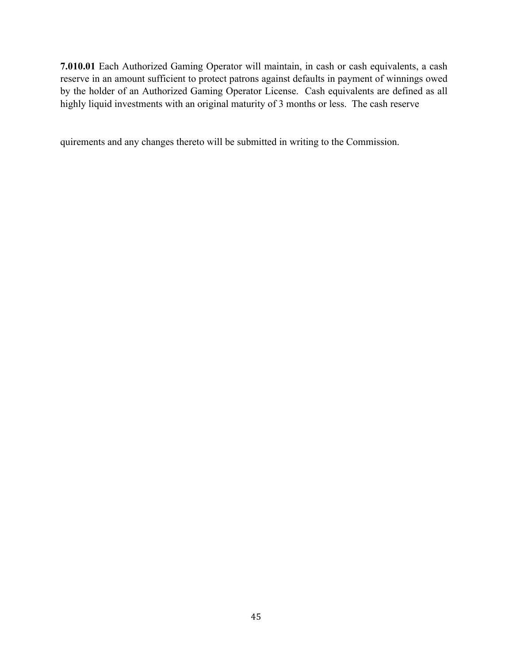**7.010.01** Each Authorized Gaming Operator will maintain, in cash or cash equivalents, a cash reserve in an amount sufficient to protect patrons against defaults in payment of winnings owed by the holder of an Authorized Gaming Operator License. Cash equivalents are defined as all highly liquid investments with an original maturity of 3 months or less. The cash reserve

quirements and any changes thereto will be submitted in writing to the Commission.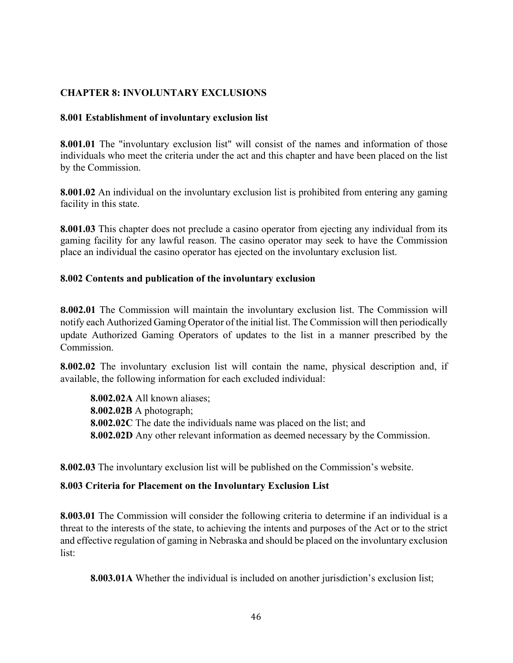# **CHAPTER 8: INVOLUNTARY EXCLUSIONS**

#### **8.001 Establishment of involuntary exclusion list**

**8.001.01** The "involuntary exclusion list" will consist of the names and information of those individuals who meet the criteria under the act and this chapter and have been placed on the list by the Commission.

**8.001.02** An individual on the involuntary exclusion list is prohibited from entering any gaming facility in this state.

**8.001.03** This chapter does not preclude a casino operator from ejecting any individual from its gaming facility for any lawful reason. The casino operator may seek to have the Commission place an individual the casino operator has ejected on the involuntary exclusion list.

#### **8.002 Contents and publication of the involuntary exclusion**

**8.002.01** The Commission will maintain the involuntary exclusion list. The Commission will notify each Authorized Gaming Operator of the initial list. The Commission will then periodically update Authorized Gaming Operators of updates to the list in a manner prescribed by the Commission.

**8.002.02** The involuntary exclusion list will contain the name, physical description and, if available, the following information for each excluded individual:

**8.002.02A** All known aliases; **8.002.02B** A photograph; **8.002.02C** The date the individuals name was placed on the list; and **8.002.02D** Any other relevant information as deemed necessary by the Commission.

**8.002.03** The involuntary exclusion list will be published on the Commission's website.

#### **8.003 Criteria for Placement on the Involuntary Exclusion List**

**8.003.01** The Commission will consider the following criteria to determine if an individual is a threat to the interests of the state, to achieving the intents and purposes of the Act or to the strict and effective regulation of gaming in Nebraska and should be placed on the involuntary exclusion list:

**8.003.01A** Whether the individual is included on another jurisdiction's exclusion list;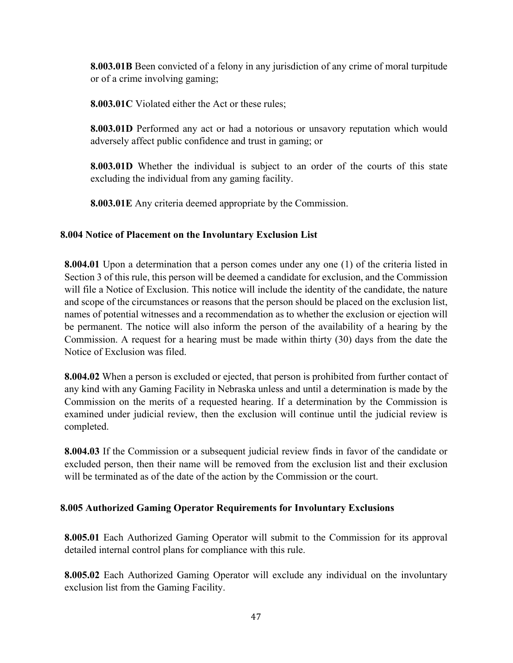**8.003.01B** Been convicted of a felony in any jurisdiction of any crime of moral turpitude or of a crime involving gaming;

**8.003.01C** Violated either the Act or these rules;

**8.003.01D** Performed any act or had a notorious or unsavory reputation which would adversely affect public confidence and trust in gaming; or

**8.003.01D** Whether the individual is subject to an order of the courts of this state excluding the individual from any gaming facility.

**8.003.01E** Any criteria deemed appropriate by the Commission.

# **8.004 Notice of Placement on the Involuntary Exclusion List**

**8.004.01** Upon a determination that a person comes under any one (1) of the criteria listed in Section 3 of this rule, this person will be deemed a candidate for exclusion, and the Commission will file a Notice of Exclusion. This notice will include the identity of the candidate, the nature and scope of the circumstances or reasons that the person should be placed on the exclusion list, names of potential witnesses and a recommendation as to whether the exclusion or ejection will be permanent. The notice will also inform the person of the availability of a hearing by the Commission. A request for a hearing must be made within thirty (30) days from the date the Notice of Exclusion was filed.

**8.004.02** When a person is excluded or ejected, that person is prohibited from further contact of any kind with any Gaming Facility in Nebraska unless and until a determination is made by the Commission on the merits of a requested hearing. If a determination by the Commission is examined under judicial review, then the exclusion will continue until the judicial review is completed.

**8.004.03** If the Commission or a subsequent judicial review finds in favor of the candidate or excluded person, then their name will be removed from the exclusion list and their exclusion will be terminated as of the date of the action by the Commission or the court.

# **8.005 Authorized Gaming Operator Requirements for Involuntary Exclusions**

**8.005.01** Each Authorized Gaming Operator will submit to the Commission for its approval detailed internal control plans for compliance with this rule.

**8.005.02** Each Authorized Gaming Operator will exclude any individual on the involuntary exclusion list from the Gaming Facility.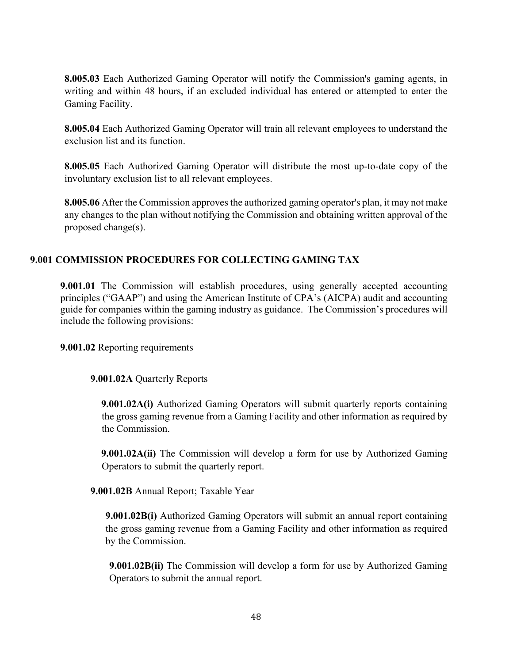**8.005.03** Each Authorized Gaming Operator will notify the Commission's gaming agents, in writing and within 48 hours, if an excluded individual has entered or attempted to enter the Gaming Facility.

**8.005.04** Each Authorized Gaming Operator will train all relevant employees to understand the exclusion list and its function.

**8.005.05** Each Authorized Gaming Operator will distribute the most up-to-date copy of the involuntary exclusion list to all relevant employees.

**8.005.06** After the Commission approves the authorized gaming operator's plan, it may not make any changes to the plan without notifying the Commission and obtaining written approval of the proposed change(s).

# **9.001 COMMISSION PROCEDURES FOR COLLECTING GAMING TAX**

**9.001.01** The Commission will establish procedures, using generally accepted accounting principles ("GAAP") and using the American Institute of CPA's (AICPA) audit and accounting guide for companies within the gaming industry as guidance. The Commission's procedures will include the following provisions:

**9.001.02** Reporting requirements

#### **9.001.02A** Quarterly Reports

**9.001.02A(i)** Authorized Gaming Operators will submit quarterly reports containing the gross gaming revenue from a Gaming Facility and other information as required by the Commission.

**9.001.02A(ii)** The Commission will develop a form for use by Authorized Gaming Operators to submit the quarterly report.

**9.001.02B** Annual Report; Taxable Year

**9.001.02B(i)** Authorized Gaming Operators will submit an annual report containing the gross gaming revenue from a Gaming Facility and other information as required by the Commission.

**9.001.02B(ii)** The Commission will develop a form for use by Authorized Gaming Operators to submit the annual report.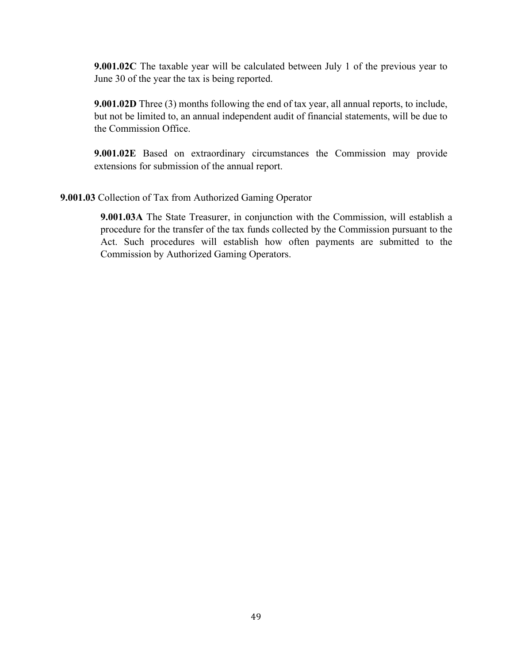**9.001.02C** The taxable year will be calculated between July 1 of the previous year to June 30 of the year the tax is being reported.

**9.001.02D** Three (3) months following the end of tax year, all annual reports, to include, but not be limited to, an annual independent audit of financial statements, will be due to the Commission Office.

**9.001.02E** Based on extraordinary circumstances the Commission may provide extensions for submission of the annual report.

#### **9.001.03** Collection of Tax from Authorized Gaming Operator

**9.001.03A** The State Treasurer, in conjunction with the Commission, will establish a procedure for the transfer of the tax funds collected by the Commission pursuant to the Act. Such procedures will establish how often payments are submitted to the Commission by Authorized Gaming Operators.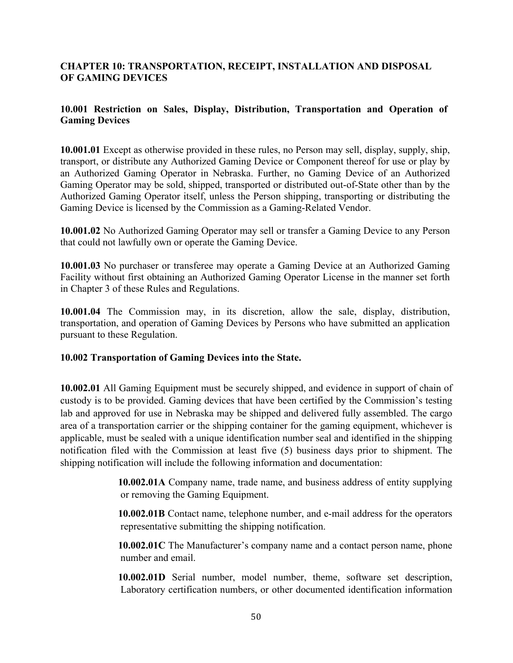# **CHAPTER 10: TRANSPORTATION, RECEIPT, INSTALLATION AND DISPOSAL OF GAMING DEVICES**

#### **10.001 Restriction on Sales, Display, Distribution, Transportation and Operation of Gaming Devices**

**10.001.01** Except as otherwise provided in these rules, no Person may sell, display, supply, ship, transport, or distribute any Authorized Gaming Device or Component thereof for use or play by an Authorized Gaming Operator in Nebraska. Further, no Gaming Device of an Authorized Gaming Operator may be sold, shipped, transported or distributed out-of-State other than by the Authorized Gaming Operator itself, unless the Person shipping, transporting or distributing the Gaming Device is licensed by the Commission as a Gaming-Related Vendor.

**10.001.02** No Authorized Gaming Operator may sell or transfer a Gaming Device to any Person that could not lawfully own or operate the Gaming Device.

**10.001.03** No purchaser or transferee may operate a Gaming Device at an Authorized Gaming Facility without first obtaining an Authorized Gaming Operator License in the manner set forth in Chapter 3 of these Rules and Regulations.

**10.001.04** The Commission may, in its discretion, allow the sale, display, distribution, transportation, and operation of Gaming Devices by Persons who have submitted an application pursuant to these Regulation.

#### **10.002 Transportation of Gaming Devices into the State.**

**10.002.01** All Gaming Equipment must be securely shipped, and evidence in support of chain of custody is to be provided. Gaming devices that have been certified by the Commission's testing lab and approved for use in Nebraska may be shipped and delivered fully assembled. The cargo area of a transportation carrier or the shipping container for the gaming equipment, whichever is applicable, must be sealed with a unique identification number seal and identified in the shipping notification filed with the Commission at least five (5) business days prior to shipment. The shipping notification will include the following information and documentation:

> **10.002.01A** Company name, trade name, and business address of entity supplying or removing the Gaming Equipment.

> **10.002.01B** Contact name, telephone number, and e-mail address for the operators representative submitting the shipping notification.

> **10.002.01C** The Manufacturer's company name and a contact person name, phone number and email.

> **10.002.01D** Serial number, model number, theme, software set description, Laboratory certification numbers, or other documented identification information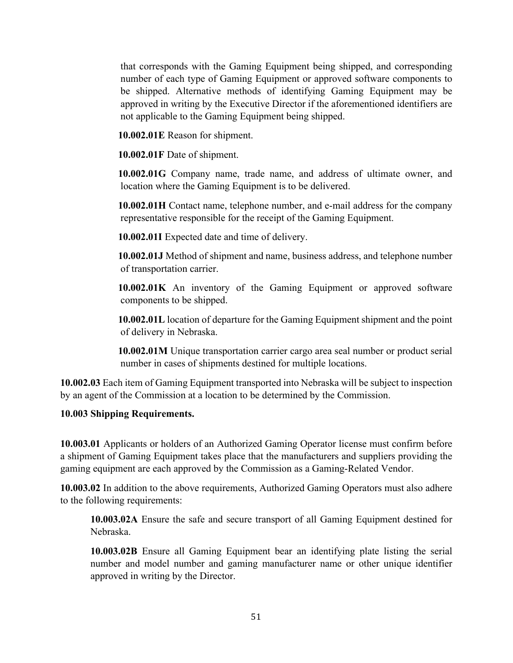that corresponds with the Gaming Equipment being shipped, and corresponding number of each type of Gaming Equipment or approved software components to be shipped. Alternative methods of identifying Gaming Equipment may be approved in writing by the Executive Director if the aforementioned identifiers are not applicable to the Gaming Equipment being shipped.

**10.002.01E** Reason for shipment.

**10.002.01F** Date of shipment.

**10.002.01G** Company name, trade name, and address of ultimate owner, and location where the Gaming Equipment is to be delivered.

**10.002.01H** Contact name, telephone number, and e-mail address for the company representative responsible for the receipt of the Gaming Equipment.

**10.002.01I** Expected date and time of delivery.

**10.002.01J** Method of shipment and name, business address, and telephone number of transportation carrier.

**10.002.01K** An inventory of the Gaming Equipment or approved software components to be shipped.

**10.002.01L** location of departure for the Gaming Equipment shipment and the point of delivery in Nebraska.

**10.002.01M** Unique transportation carrier cargo area seal number or product serial number in cases of shipments destined for multiple locations.

**10.002.03** Each item of Gaming Equipment transported into Nebraska will be subject to inspection by an agent of the Commission at a location to be determined by the Commission.

# **10.003 Shipping Requirements.**

**10.003.01** Applicants or holders of an Authorized Gaming Operator license must confirm before a shipment of Gaming Equipment takes place that the manufacturers and suppliers providing the gaming equipment are each approved by the Commission as a Gaming-Related Vendor.

**10.003.02** In addition to the above requirements, Authorized Gaming Operators must also adhere to the following requirements:

**10.003.02A** Ensure the safe and secure transport of all Gaming Equipment destined for Nebraska.

**10.003.02B** Ensure all Gaming Equipment bear an identifying plate listing the serial number and model number and gaming manufacturer name or other unique identifier approved in writing by the Director.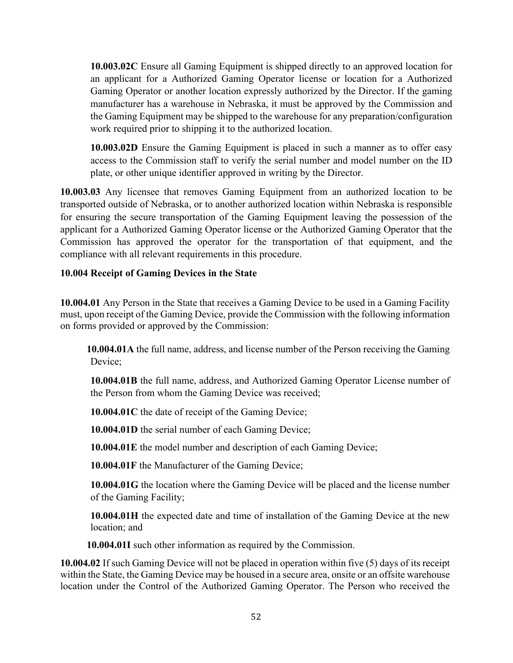**10.003.02C** Ensure all Gaming Equipment is shipped directly to an approved location for an applicant for a Authorized Gaming Operator license or location for a Authorized Gaming Operator or another location expressly authorized by the Director. If the gaming manufacturer has a warehouse in Nebraska, it must be approved by the Commission and the Gaming Equipment may be shipped to the warehouse for any preparation/configuration work required prior to shipping it to the authorized location.

**10.003.02D** Ensure the Gaming Equipment is placed in such a manner as to offer easy access to the Commission staff to verify the serial number and model number on the ID plate, or other unique identifier approved in writing by the Director.

**10.003.03** Any licensee that removes Gaming Equipment from an authorized location to be transported outside of Nebraska, or to another authorized location within Nebraska is responsible for ensuring the secure transportation of the Gaming Equipment leaving the possession of the applicant for a Authorized Gaming Operator license or the Authorized Gaming Operator that the Commission has approved the operator for the transportation of that equipment, and the compliance with all relevant requirements in this procedure.

# **10.004 Receipt of Gaming Devices in the State**

**10.004.01** Any Person in the State that receives a Gaming Device to be used in a Gaming Facility must, upon receipt of the Gaming Device, provide the Commission with the following information on forms provided or approved by the Commission:

**10.004.01A** the full name, address, and license number of the Person receiving the Gaming Device;

**10.004.01B** the full name, address, and Authorized Gaming Operator License number of the Person from whom the Gaming Device was received;

**10.004.01C** the date of receipt of the Gaming Device;

**10.004.01D** the serial number of each Gaming Device;

**10.004.01E** the model number and description of each Gaming Device;

**10.004.01F** the Manufacturer of the Gaming Device;

**10.004.01G** the location where the Gaming Device will be placed and the license number of the Gaming Facility;

**10.004.01H** the expected date and time of installation of the Gaming Device at the new location; and

**10.004.01I** such other information as required by the Commission.

**10.004.02** If such Gaming Device will not be placed in operation within five (5) days of its receipt within the State, the Gaming Device may be housed in a secure area, onsite or an offsite warehouse location under the Control of the Authorized Gaming Operator. The Person who received the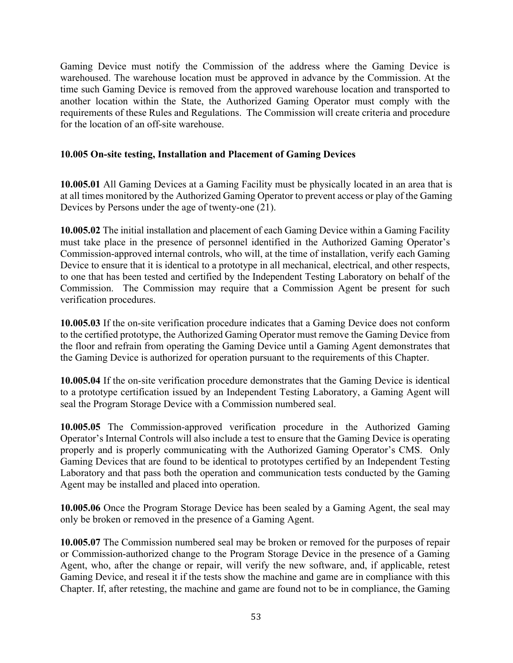Gaming Device must notify the Commission of the address where the Gaming Device is warehoused. The warehouse location must be approved in advance by the Commission. At the time such Gaming Device is removed from the approved warehouse location and transported to another location within the State, the Authorized Gaming Operator must comply with the requirements of these Rules and Regulations. The Commission will create criteria and procedure for the location of an off-site warehouse.

#### **10.005 On-site testing, Installation and Placement of Gaming Devices**

**10.005.01** All Gaming Devices at a Gaming Facility must be physically located in an area that is at all times monitored by the Authorized Gaming Operator to prevent access or play of the Gaming Devices by Persons under the age of twenty-one (21).

**10.005.02** The initial installation and placement of each Gaming Device within a Gaming Facility must take place in the presence of personnel identified in the Authorized Gaming Operator's Commission-approved internal controls, who will, at the time of installation, verify each Gaming Device to ensure that it is identical to a prototype in all mechanical, electrical, and other respects, to one that has been tested and certified by the Independent Testing Laboratory on behalf of the Commission. The Commission may require that a Commission Agent be present for such verification procedures.

**10.005.03** If the on-site verification procedure indicates that a Gaming Device does not conform to the certified prototype, the Authorized Gaming Operator must remove the Gaming Device from the floor and refrain from operating the Gaming Device until a Gaming Agent demonstrates that the Gaming Device is authorized for operation pursuant to the requirements of this Chapter.

**10.005.04** If the on-site verification procedure demonstrates that the Gaming Device is identical to a prototype certification issued by an Independent Testing Laboratory, a Gaming Agent will seal the Program Storage Device with a Commission numbered seal.

**10.005.05** The Commission-approved verification procedure in the Authorized Gaming Operator's Internal Controls will also include a test to ensure that the Gaming Device is operating properly and is properly communicating with the Authorized Gaming Operator's CMS. Only Gaming Devices that are found to be identical to prototypes certified by an Independent Testing Laboratory and that pass both the operation and communication tests conducted by the Gaming Agent may be installed and placed into operation.

**10.005.06** Once the Program Storage Device has been sealed by a Gaming Agent, the seal may only be broken or removed in the presence of a Gaming Agent.

**10.005.07** The Commission numbered seal may be broken or removed for the purposes of repair or Commission-authorized change to the Program Storage Device in the presence of a Gaming Agent, who, after the change or repair, will verify the new software, and, if applicable, retest Gaming Device, and reseal it if the tests show the machine and game are in compliance with this Chapter. If, after retesting, the machine and game are found not to be in compliance, the Gaming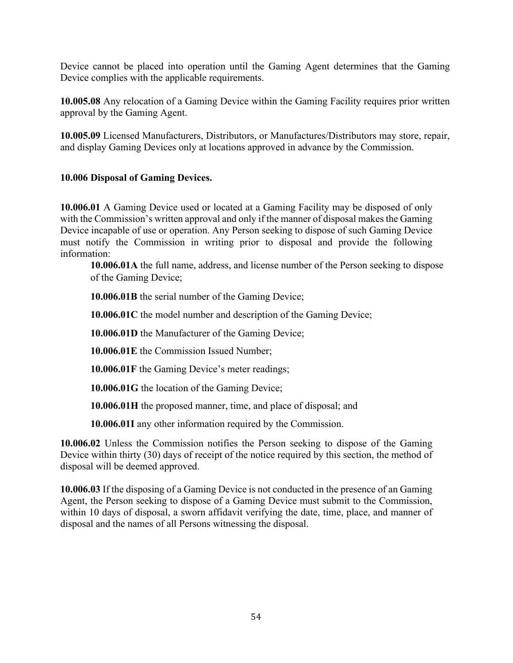Device cannot be placed into operation until the Gaming Agent determines that the Gaming Device complies with the applicable requirements.

**10.005.08** Any relocation of a Gaming Device within the Gaming Facility requires prior written approval by the Gaming Agent.

**10.005.09** Licensed Manufacturers, Distributors, or Manufactures/Distributors may store, repair, and display Gaming Devices only at locations approved in advance by the Commission.

# **10.006 Disposal of Gaming Devices.**

**10.006.01** A Gaming Device used or located at a Gaming Facility may be disposed of only with the Commission's written approval and only if the manner of disposal makes the Gaming Device incapable of use or operation. Any Person seeking to dispose of such Gaming Device must notify the Commission in writing prior to disposal and provide the following information:

**10.006.01A** the full name, address, and license number of the Person seeking to dispose of the Gaming Device;

**10.006.01B** the serial number of the Gaming Device;

**10.006.01C** the model number and description of the Gaming Device;

**10.006.01D** the Manufacturer of the Gaming Device;

**10.006.01E** the Commission Issued Number;

**10.006.01F** the Gaming Device's meter readings;

**10.006.01G** the location of the Gaming Device;

**10.006.01H** the proposed manner, time, and place of disposal; and

**10.006.01I** any other information required by the Commission.

**10.006.02** Unless the Commission notifies the Person seeking to dispose of the Gaming Device within thirty (30) days of receipt of the notice required by this section, the method of disposal will be deemed approved.

**10.006.03** If the disposing of a Gaming Device is not conducted in the presence of an Gaming Agent, the Person seeking to dispose of a Gaming Device must submit to the Commission, within 10 days of disposal, a sworn affidavit verifying the date, time, place, and manner of disposal and the names of all Persons witnessing the disposal.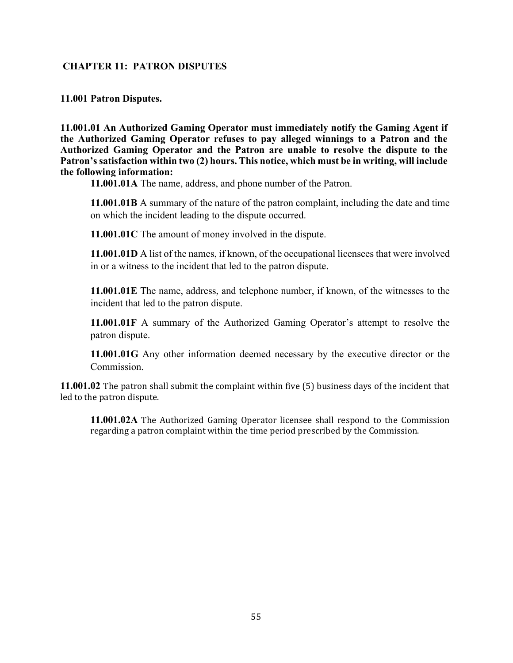#### **CHAPTER 11: PATRON DISPUTES**

**11.001 Patron Disputes.**

**11.001.01 An Authorized Gaming Operator must immediately notify the Gaming Agent if the Authorized Gaming Operator refuses to pay alleged winnings to a Patron and the Authorized Gaming Operator and the Patron are unable to resolve the dispute to the Patron's satisfaction within two (2) hours. This notice, which must be in writing, will include the following information:**

**11.001.01A** The name, address, and phone number of the Patron.

**11.001.01B** A summary of the nature of the patron complaint, including the date and time on which the incident leading to the dispute occurred.

**11.001.01C** The amount of money involved in the dispute.

**11.001.01D** A list of the names, if known, of the occupational licensees that were involved in or a witness to the incident that led to the patron dispute.

**11.001.01E** The name, address, and telephone number, if known, of the witnesses to the incident that led to the patron dispute.

**11.001.01F** A summary of the Authorized Gaming Operator's attempt to resolve the patron dispute.

**11.001.01G** Any other information deemed necessary by the executive director or the Commission.

**11.001.02** The patron shall submit the complaint within five (5) business days of the incident that led to the patron dispute.

**11.001.02A** The Authorized Gaming Operator licensee shall respond to the Commission regarding a patron complaint within the time period prescribed by the Commission.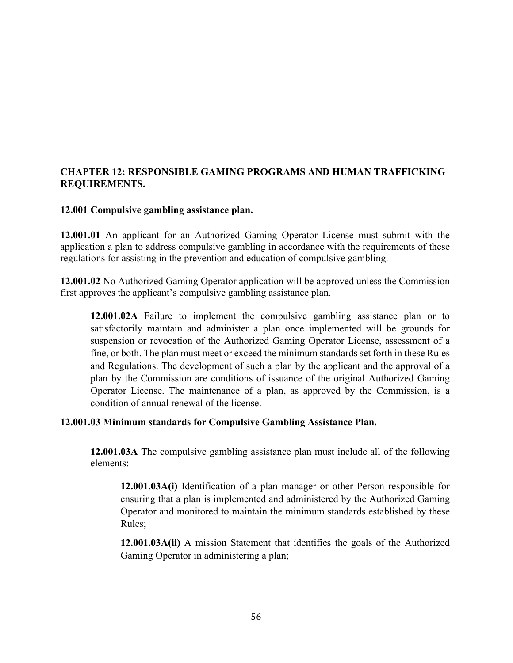# **CHAPTER 12: RESPONSIBLE GAMING PROGRAMS AND HUMAN TRAFFICKING REQUIREMENTS.**

#### **12.001 Compulsive gambling assistance plan.**

**12.001.01** An applicant for an Authorized Gaming Operator License must submit with the application a plan to address compulsive gambling in accordance with the requirements of these regulations for assisting in the prevention and education of compulsive gambling.

**12.001.02** No Authorized Gaming Operator application will be approved unless the Commission first approves the applicant's compulsive gambling assistance plan.

**12.001.02A** Failure to implement the compulsive gambling assistance plan or to satisfactorily maintain and administer a plan once implemented will be grounds for suspension or revocation of the Authorized Gaming Operator License, assessment of a fine, or both. The plan must meet or exceed the minimum standards set forth in these Rules and Regulations. The development of such a plan by the applicant and the approval of a plan by the Commission are conditions of issuance of the original Authorized Gaming Operator License. The maintenance of a plan, as approved by the Commission, is a condition of annual renewal of the license.

#### **12.001.03 Minimum standards for Compulsive Gambling Assistance Plan.**

**12.001.03A** The compulsive gambling assistance plan must include all of the following elements:

**12.001.03A(i)** Identification of a plan manager or other Person responsible for ensuring that a plan is implemented and administered by the Authorized Gaming Operator and monitored to maintain the minimum standards established by these Rules;

**12.001.03A(ii)** A mission Statement that identifies the goals of the Authorized Gaming Operator in administering a plan;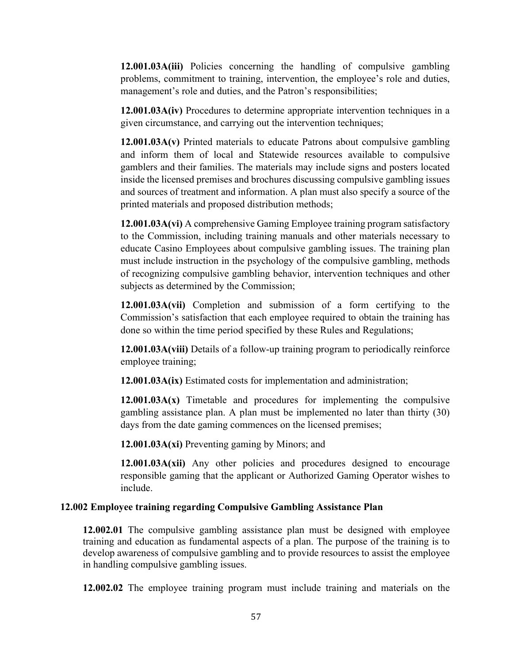**12.001.03A(iii)** Policies concerning the handling of compulsive gambling problems, commitment to training, intervention, the employee's role and duties, management's role and duties, and the Patron's responsibilities;

**12.001.03A(iv)** Procedures to determine appropriate intervention techniques in a given circumstance, and carrying out the intervention techniques;

**12.001.03A(v)** Printed materials to educate Patrons about compulsive gambling and inform them of local and Statewide resources available to compulsive gamblers and their families. The materials may include signs and posters located inside the licensed premises and brochures discussing compulsive gambling issues and sources of treatment and information. A plan must also specify a source of the printed materials and proposed distribution methods;

**12.001.03A(vi)** A comprehensive Gaming Employee training program satisfactory to the Commission, including training manuals and other materials necessary to educate Casino Employees about compulsive gambling issues. The training plan must include instruction in the psychology of the compulsive gambling, methods of recognizing compulsive gambling behavior, intervention techniques and other subjects as determined by the Commission;

**12.001.03A(vii)** Completion and submission of a form certifying to the Commission's satisfaction that each employee required to obtain the training has done so within the time period specified by these Rules and Regulations;

**12.001.03A(viii)** Details of a follow-up training program to periodically reinforce employee training;

**12.001.03A(ix)** Estimated costs for implementation and administration;

**12.001.03A(x)** Timetable and procedures for implementing the compulsive gambling assistance plan. A plan must be implemented no later than thirty (30) days from the date gaming commences on the licensed premises;

**12.001.03A(xi)** Preventing gaming by Minors; and

**12.001.03A(xii)** Any other policies and procedures designed to encourage responsible gaming that the applicant or Authorized Gaming Operator wishes to include.

#### **12.002 Employee training regarding Compulsive Gambling Assistance Plan**

**12.002.01** The compulsive gambling assistance plan must be designed with employee training and education as fundamental aspects of a plan. The purpose of the training is to develop awareness of compulsive gambling and to provide resources to assist the employee in handling compulsive gambling issues.

**12.002.02** The employee training program must include training and materials on the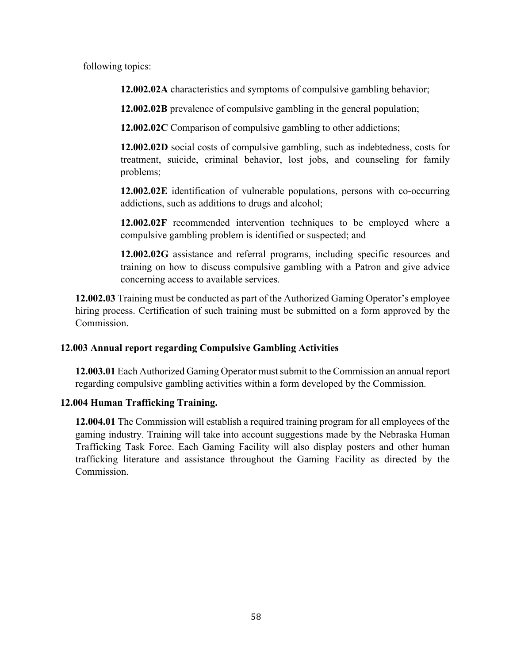following topics:

**12.002.02A** characteristics and symptoms of compulsive gambling behavior;

**12.002.02B** prevalence of compulsive gambling in the general population;

**12.002.02C** Comparison of compulsive gambling to other addictions;

**12.002.02D** social costs of compulsive gambling, such as indebtedness, costs for treatment, suicide, criminal behavior, lost jobs, and counseling for family problems;

**12.002.02E** identification of vulnerable populations, persons with co-occurring addictions, such as additions to drugs and alcohol;

**12.002.02F** recommended intervention techniques to be employed where a compulsive gambling problem is identified or suspected; and

**12.002.02G** assistance and referral programs, including specific resources and training on how to discuss compulsive gambling with a Patron and give advice concerning access to available services.

**12.002.03** Training must be conducted as part of the Authorized Gaming Operator's employee hiring process. Certification of such training must be submitted on a form approved by the Commission.

# **12.003 Annual report regarding Compulsive Gambling Activities**

**12.003.01** Each Authorized Gaming Operator must submit to the Commission an annual report regarding compulsive gambling activities within a form developed by the Commission.

# **12.004 Human Trafficking Training.**

**12.004.01** The Commission will establish a required training program for all employees of the gaming industry. Training will take into account suggestions made by the Nebraska Human Trafficking Task Force. Each Gaming Facility will also display posters and other human trafficking literature and assistance throughout the Gaming Facility as directed by the Commission.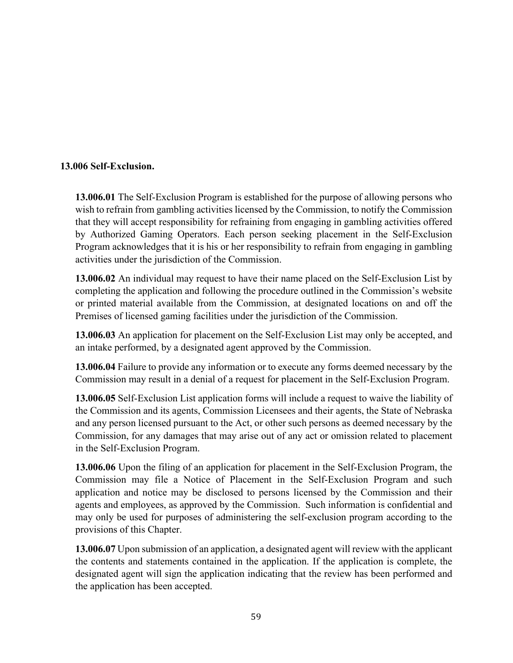# **13.006 Self-Exclusion.**

**13.006.01** The Self-Exclusion Program is established for the purpose of allowing persons who wish to refrain from gambling activities licensed by the Commission, to notify the Commission that they will accept responsibility for refraining from engaging in gambling activities offered by Authorized Gaming Operators. Each person seeking placement in the Self-Exclusion Program acknowledges that it is his or her responsibility to refrain from engaging in gambling activities under the jurisdiction of the Commission.

**13.006.02** An individual may request to have their name placed on the Self-Exclusion List by completing the application and following the procedure outlined in the Commission's website or printed material available from the Commission, at designated locations on and off the Premises of licensed gaming facilities under the jurisdiction of the Commission.

**13.006.03** An application for placement on the Self-Exclusion List may only be accepted, and an intake performed, by a designated agent approved by the Commission.

**13.006.04** Failure to provide any information or to execute any forms deemed necessary by the Commission may result in a denial of a request for placement in the Self-Exclusion Program.

**13.006.05** Self-Exclusion List application forms will include a request to waive the liability of the Commission and its agents, Commission Licensees and their agents, the State of Nebraska and any person licensed pursuant to the Act, or other such persons as deemed necessary by the Commission, for any damages that may arise out of any act or omission related to placement in the Self-Exclusion Program.

**13.006.06** Upon the filing of an application for placement in the Self-Exclusion Program, the Commission may file a Notice of Placement in the Self-Exclusion Program and such application and notice may be disclosed to persons licensed by the Commission and their agents and employees, as approved by the Commission. Such information is confidential and may only be used for purposes of administering the self-exclusion program according to the provisions of this Chapter.

**13.006.07** Upon submission of an application, a designated agent will review with the applicant the contents and statements contained in the application. If the application is complete, the designated agent will sign the application indicating that the review has been performed and the application has been accepted.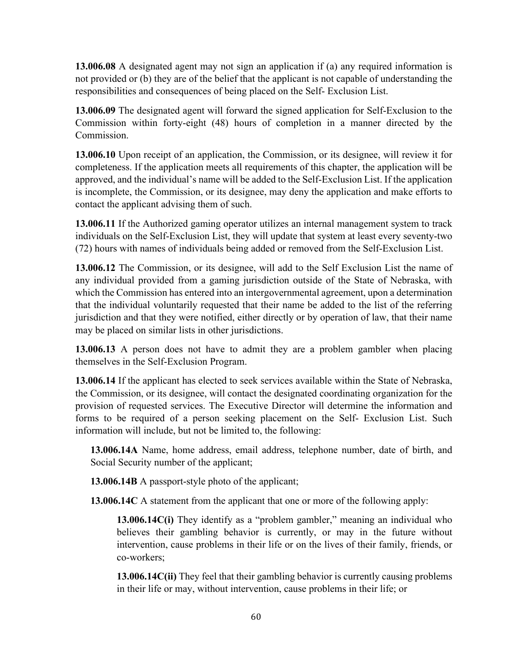**13.006.08** A designated agent may not sign an application if (a) any required information is not provided or (b) they are of the belief that the applicant is not capable of understanding the responsibilities and consequences of being placed on the Self- Exclusion List.

**13.006.09** The designated agent will forward the signed application for Self-Exclusion to the Commission within forty-eight (48) hours of completion in a manner directed by the Commission.

**13.006.10** Upon receipt of an application, the Commission, or its designee, will review it for completeness. If the application meets all requirements of this chapter, the application will be approved, and the individual's name will be added to the Self-Exclusion List. If the application is incomplete, the Commission, or its designee, may deny the application and make efforts to contact the applicant advising them of such.

**13.006.11** If the Authorized gaming operator utilizes an internal management system to track individuals on the Self-Exclusion List, they will update that system at least every seventy-two (72) hours with names of individuals being added or removed from the Self-Exclusion List.

**13.006.12** The Commission, or its designee, will add to the Self Exclusion List the name of any individual provided from a gaming jurisdiction outside of the State of Nebraska, with which the Commission has entered into an intergovernmental agreement, upon a determination that the individual voluntarily requested that their name be added to the list of the referring jurisdiction and that they were notified, either directly or by operation of law, that their name may be placed on similar lists in other jurisdictions.

**13.006.13** A person does not have to admit they are a problem gambler when placing themselves in the Self-Exclusion Program.

**13.006.14** If the applicant has elected to seek services available within the State of Nebraska, the Commission, or its designee, will contact the designated coordinating organization for the provision of requested services. The Executive Director will determine the information and forms to be required of a person seeking placement on the Self- Exclusion List. Such information will include, but not be limited to, the following:

**13.006.14A** Name, home address, email address, telephone number, date of birth, and Social Security number of the applicant;

**13.006.14B** A passport-style photo of the applicant;

**13.006.14C** A statement from the applicant that one or more of the following apply:

**13.006.14C(i)** They identify as a "problem gambler," meaning an individual who believes their gambling behavior is currently, or may in the future without intervention, cause problems in their life or on the lives of their family, friends, or co-workers;

**13.006.14C(ii)** They feel that their gambling behavior is currently causing problems in their life or may, without intervention, cause problems in their life; or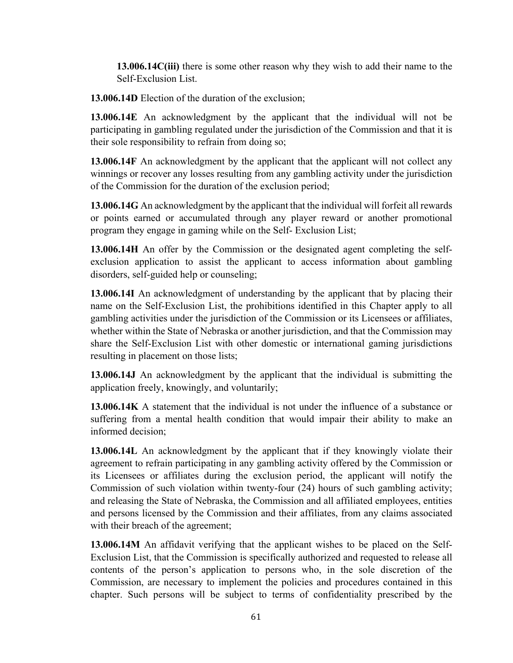**13.006.14C(iii)** there is some other reason why they wish to add their name to the Self-Exclusion List.

**13.006.14D** Election of the duration of the exclusion;

**13.006.14E** An acknowledgment by the applicant that the individual will not be participating in gambling regulated under the jurisdiction of the Commission and that it is their sole responsibility to refrain from doing so;

**13.006.14F** An acknowledgment by the applicant that the applicant will not collect any winnings or recover any losses resulting from any gambling activity under the jurisdiction of the Commission for the duration of the exclusion period;

**13.006.14G** An acknowledgment by the applicant that the individual will forfeit all rewards or points earned or accumulated through any player reward or another promotional program they engage in gaming while on the Self- Exclusion List;

**13.006.14H** An offer by the Commission or the designated agent completing the selfexclusion application to assist the applicant to access information about gambling disorders, self-guided help or counseling;

**13.006.14I** An acknowledgment of understanding by the applicant that by placing their name on the Self-Exclusion List, the prohibitions identified in this Chapter apply to all gambling activities under the jurisdiction of the Commission or its Licensees or affiliates, whether within the State of Nebraska or another jurisdiction, and that the Commission may share the Self-Exclusion List with other domestic or international gaming jurisdictions resulting in placement on those lists;

**13.006.14J** An acknowledgment by the applicant that the individual is submitting the application freely, knowingly, and voluntarily;

**13.006.14K** A statement that the individual is not under the influence of a substance or suffering from a mental health condition that would impair their ability to make an informed decision;

**13.006.14L** An acknowledgment by the applicant that if they knowingly violate their agreement to refrain participating in any gambling activity offered by the Commission or its Licensees or affiliates during the exclusion period, the applicant will notify the Commission of such violation within twenty-four (24) hours of such gambling activity; and releasing the State of Nebraska, the Commission and all affiliated employees, entities and persons licensed by the Commission and their affiliates, from any claims associated with their breach of the agreement;

**13.006.14M** An affidavit verifying that the applicant wishes to be placed on the Self-Exclusion List, that the Commission is specifically authorized and requested to release all contents of the person's application to persons who, in the sole discretion of the Commission, are necessary to implement the policies and procedures contained in this chapter. Such persons will be subject to terms of confidentiality prescribed by the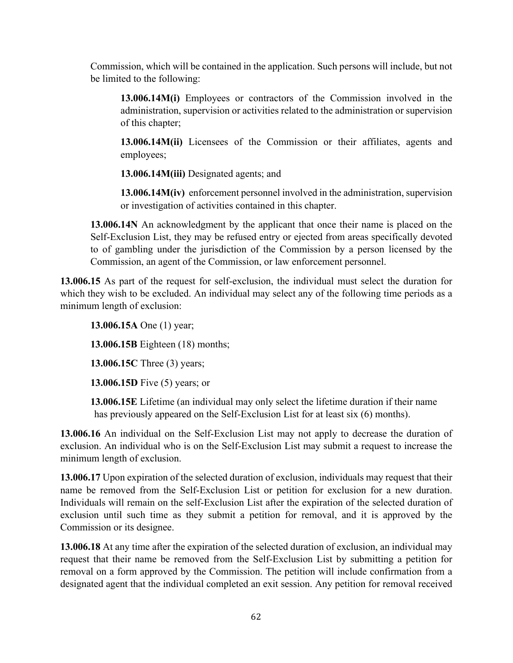Commission, which will be contained in the application. Such persons will include, but not be limited to the following:

**13.006.14M(i)** Employees or contractors of the Commission involved in the administration, supervision or activities related to the administration or supervision of this chapter;

**13.006.14M(ii)** Licensees of the Commission or their affiliates, agents and employees;

**13.006.14M(iii)** Designated agents; and

**13.006.14M(iv)** enforcement personnel involved in the administration, supervision or investigation of activities contained in this chapter.

**13.006.14N** An acknowledgment by the applicant that once their name is placed on the Self-Exclusion List, they may be refused entry or ejected from areas specifically devoted to of gambling under the jurisdiction of the Commission by a person licensed by the Commission, an agent of the Commission, or law enforcement personnel.

**13.006.15** As part of the request for self-exclusion, the individual must select the duration for which they wish to be excluded. An individual may select any of the following time periods as a minimum length of exclusion:

**13.006.15A** One (1) year; **13.006.15B** Eighteen (18) months; **13.006.15C** Three (3) years; **13.006.15D** Five (5) years; or

**13.006.15E** Lifetime (an individual may only select the lifetime duration if their name has previously appeared on the Self-Exclusion List for at least six (6) months).

**13.006.16** An individual on the Self-Exclusion List may not apply to decrease the duration of exclusion. An individual who is on the Self-Exclusion List may submit a request to increase the minimum length of exclusion.

**13.006.17** Upon expiration of the selected duration of exclusion, individuals may request that their name be removed from the Self-Exclusion List or petition for exclusion for a new duration. Individuals will remain on the self-Exclusion List after the expiration of the selected duration of exclusion until such time as they submit a petition for removal, and it is approved by the Commission or its designee.

**13.006.18** At any time after the expiration of the selected duration of exclusion, an individual may request that their name be removed from the Self-Exclusion List by submitting a petition for removal on a form approved by the Commission. The petition will include confirmation from a designated agent that the individual completed an exit session. Any petition for removal received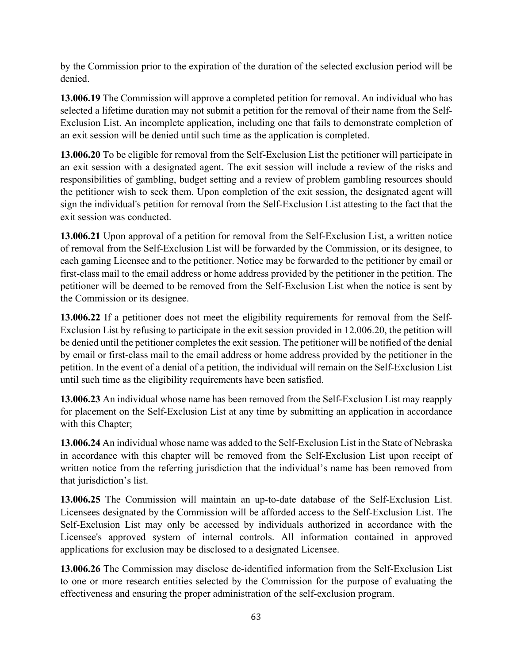by the Commission prior to the expiration of the duration of the selected exclusion period will be denied.

**13.006.19** The Commission will approve a completed petition for removal. An individual who has selected a lifetime duration may not submit a petition for the removal of their name from the Self-Exclusion List. An incomplete application, including one that fails to demonstrate completion of an exit session will be denied until such time as the application is completed.

**13.006.20** To be eligible for removal from the Self-Exclusion List the petitioner will participate in an exit session with a designated agent. The exit session will include a review of the risks and responsibilities of gambling, budget setting and a review of problem gambling resources should the petitioner wish to seek them. Upon completion of the exit session, the designated agent will sign the individual's petition for removal from the Self-Exclusion List attesting to the fact that the exit session was conducted.

**13.006.21** Upon approval of a petition for removal from the Self-Exclusion List, a written notice of removal from the Self-Exclusion List will be forwarded by the Commission, or its designee, to each gaming Licensee and to the petitioner. Notice may be forwarded to the petitioner by email or first-class mail to the email address or home address provided by the petitioner in the petition. The petitioner will be deemed to be removed from the Self-Exclusion List when the notice is sent by the Commission or its designee.

**13.006.22** If a petitioner does not meet the eligibility requirements for removal from the Self-Exclusion List by refusing to participate in the exit session provided in 12.006.20, the petition will be denied until the petitioner completes the exit session. The petitioner will be notified of the denial by email or first-class mail to the email address or home address provided by the petitioner in the petition. In the event of a denial of a petition, the individual will remain on the Self-Exclusion List until such time as the eligibility requirements have been satisfied.

**13.006.23** An individual whose name has been removed from the Self-Exclusion List may reapply for placement on the Self-Exclusion List at any time by submitting an application in accordance with this Chapter;

**13.006.24** An individual whose name was added to the Self-Exclusion List in the State of Nebraska in accordance with this chapter will be removed from the Self-Exclusion List upon receipt of written notice from the referring jurisdiction that the individual's name has been removed from that jurisdiction's list.

**13.006.25** The Commission will maintain an up-to-date database of the Self-Exclusion List. Licensees designated by the Commission will be afforded access to the Self-Exclusion List. The Self-Exclusion List may only be accessed by individuals authorized in accordance with the Licensee's approved system of internal controls. All information contained in approved applications for exclusion may be disclosed to a designated Licensee.

**13.006.26** The Commission may disclose de-identified information from the Self-Exclusion List to one or more research entities selected by the Commission for the purpose of evaluating the effectiveness and ensuring the proper administration of the self-exclusion program.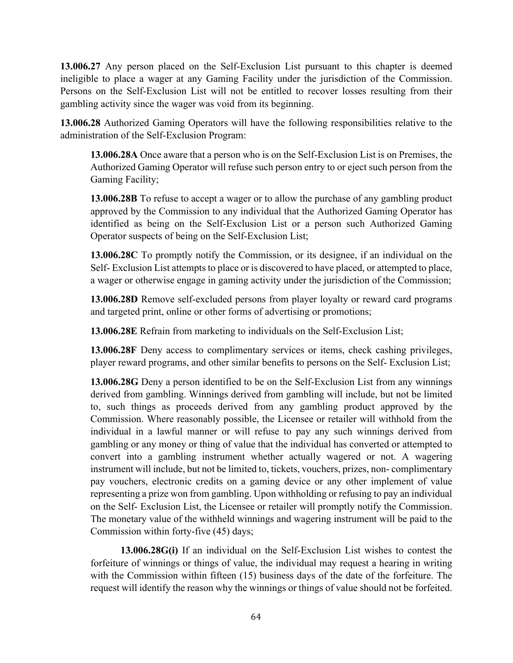**13.006.27** Any person placed on the Self-Exclusion List pursuant to this chapter is deemed ineligible to place a wager at any Gaming Facility under the jurisdiction of the Commission. Persons on the Self-Exclusion List will not be entitled to recover losses resulting from their gambling activity since the wager was void from its beginning.

**13.006.28** Authorized Gaming Operators will have the following responsibilities relative to the administration of the Self-Exclusion Program:

**13.006.28A** Once aware that a person who is on the Self-Exclusion List is on Premises, the Authorized Gaming Operator will refuse such person entry to or eject such person from the Gaming Facility;

**13.006.28B** To refuse to accept a wager or to allow the purchase of any gambling product approved by the Commission to any individual that the Authorized Gaming Operator has identified as being on the Self-Exclusion List or a person such Authorized Gaming Operator suspects of being on the Self-Exclusion List;

**13.006.28C** To promptly notify the Commission, or its designee, if an individual on the Self- Exclusion List attempts to place or is discovered to have placed, or attempted to place, a wager or otherwise engage in gaming activity under the jurisdiction of the Commission;

**13.006.28D** Remove self-excluded persons from player loyalty or reward card programs and targeted print, online or other forms of advertising or promotions;

**13.006.28E** Refrain from marketing to individuals on the Self-Exclusion List;

**13.006.28F** Deny access to complimentary services or items, check cashing privileges, player reward programs, and other similar benefits to persons on the Self- Exclusion List;

**13.006.28G** Deny a person identified to be on the Self-Exclusion List from any winnings derived from gambling. Winnings derived from gambling will include, but not be limited to, such things as proceeds derived from any gambling product approved by the Commission. Where reasonably possible, the Licensee or retailer will withhold from the individual in a lawful manner or will refuse to pay any such winnings derived from gambling or any money or thing of value that the individual has converted or attempted to convert into a gambling instrument whether actually wagered or not. A wagering instrument will include, but not be limited to, tickets, vouchers, prizes, non- complimentary pay vouchers, electronic credits on a gaming device or any other implement of value representing a prize won from gambling. Upon withholding or refusing to pay an individual on the Self- Exclusion List, the Licensee or retailer will promptly notify the Commission. The monetary value of the withheld winnings and wagering instrument will be paid to the Commission within forty-five (45) days;

**13.006.28G(i)** If an individual on the Self-Exclusion List wishes to contest the forfeiture of winnings or things of value, the individual may request a hearing in writing with the Commission within fifteen (15) business days of the date of the forfeiture. The request will identify the reason why the winnings or things of value should not be forfeited.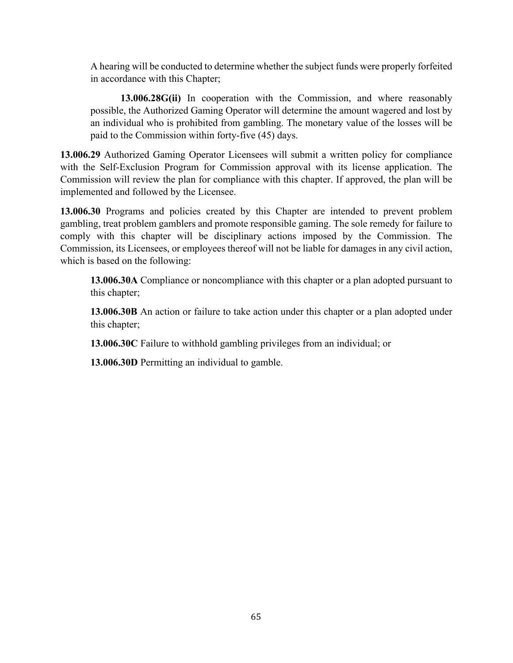A hearing will be conducted to determine whether the subject funds were properly forfeited in accordance with this Chapter;

**13.006.28G(ii)** In cooperation with the Commission, and where reasonably possible, the Authorized Gaming Operator will determine the amount wagered and lost by an individual who is prohibited from gambling. The monetary value of the losses will be paid to the Commission within forty-five (45) days.

**13.006.29** Authorized Gaming Operator Licensees will submit a written policy for compliance with the Self-Exclusion Program for Commission approval with its license application. The Commission will review the plan for compliance with this chapter. If approved, the plan will be implemented and followed by the Licensee.

**13.006.30** Programs and policies created by this Chapter are intended to prevent problem gambling, treat problem gamblers and promote responsible gaming. The sole remedy for failure to comply with this chapter will be disciplinary actions imposed by the Commission. The Commission, its Licensees, or employees thereof will not be liable for damages in any civil action, which is based on the following:

**13.006.30A** Compliance or noncompliance with this chapter or a plan adopted pursuant to this chapter;

**13.006.30B** An action or failure to take action under this chapter or a plan adopted under this chapter;

**13.006.30C** Failure to withhold gambling privileges from an individual; or

**13.006.30D** Permitting an individual to gamble.